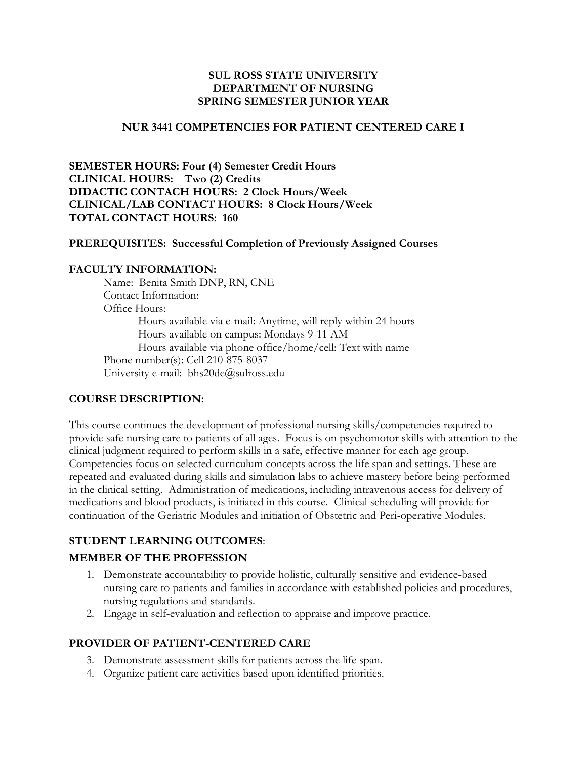### **SUL ROSS STATE UNIVERSITY DEPARTMENT OF NURSING SPRING SEMESTER JUNIOR YEAR**

#### **NUR 3441 COMPETENCIES FOR PATIENT CENTERED CARE I**

**SEMESTER HOURS: Four (4) Semester Credit Hours CLINICAL HOURS: Two (2) Credits DIDACTIC CONTACH HOURS: 2 Clock Hours/Week CLINICAL/LAB CONTACT HOURS: 8 Clock Hours/Week TOTAL CONTACT HOURS: 160**

#### **PREREQUISITES: Successful Completion of Previously Assigned Courses**

#### **FACULTY INFORMATION:**

Name: Benita Smith DNP, RN, CNE Contact Information: Office Hours: Hours available via e-mail: Anytime, will reply within 24 hours Hours available on campus: Mondays 9-11 AM Hours available via phone office/home/cell: Text with name Phone number(s): Cell 210-875-8037 University e-mail: bhs20de@sulross.edu

#### **COURSE DESCRIPTION:**

This course continues the development of professional nursing skills/competencies required to provide safe nursing care to patients of all ages. Focus is on psychomotor skills with attention to the clinical judgment required to perform skills in a safe, effective manner for each age group. Competencies focus on selected curriculum concepts across the life span and settings. These are repeated and evaluated during skills and simulation labs to achieve mastery before being performed in the clinical setting. Administration of medications, including intravenous access for delivery of medications and blood products, is initiated in this course. Clinical scheduling will provide for continuation of the Geriatric Modules and initiation of Obstetric and Peri-operative Modules.

### **STUDENT LEARNING OUTCOMES**:

### **MEMBER OF THE PROFESSION**

- 1. Demonstrate accountability to provide holistic, culturally sensitive and evidence-based nursing care to patients and families in accordance with established policies and procedures, nursing regulations and standards.
- 2. Engage in self-evaluation and reflection to appraise and improve practice.

### **PROVIDER OF PATIENT-CENTERED CARE**

- 3. Demonstrate assessment skills for patients across the life span.
- 4. Organize patient care activities based upon identified priorities.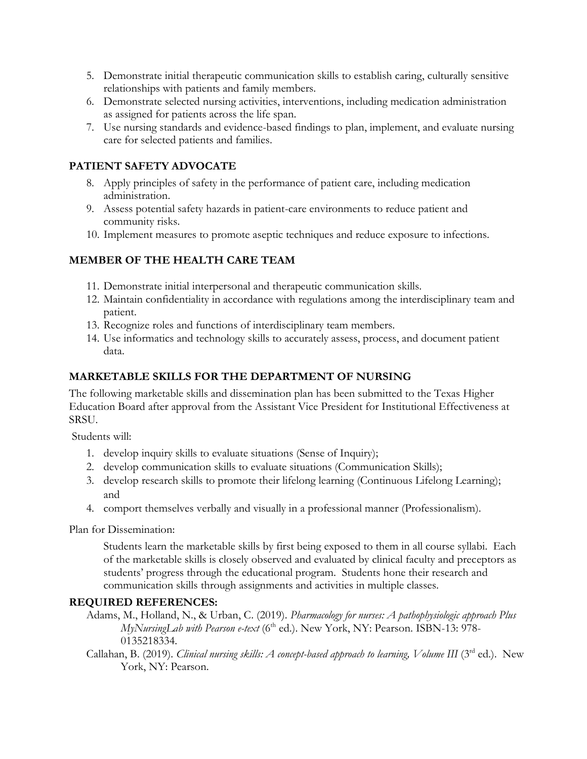- 5. Demonstrate initial therapeutic communication skills to establish caring, culturally sensitive relationships with patients and family members.
- 6. Demonstrate selected nursing activities, interventions, including medication administration as assigned for patients across the life span.
- 7. Use nursing standards and evidence-based findings to plan, implement, and evaluate nursing care for selected patients and families.

## **PATIENT SAFETY ADVOCATE**

- 8. Apply principles of safety in the performance of patient care, including medication administration.
- 9. Assess potential safety hazards in patient-care environments to reduce patient and community risks.
- 10. Implement measures to promote aseptic techniques and reduce exposure to infections.

## **MEMBER OF THE HEALTH CARE TEAM**

- 11. Demonstrate initial interpersonal and therapeutic communication skills.
- 12. Maintain confidentiality in accordance with regulations among the interdisciplinary team and patient.
- 13. Recognize roles and functions of interdisciplinary team members.
- 14. Use informatics and technology skills to accurately assess, process, and document patient data.

## **MARKETABLE SKILLS FOR THE DEPARTMENT OF NURSING**

The following marketable skills and dissemination plan has been submitted to the Texas Higher Education Board after approval from the Assistant Vice President for Institutional Effectiveness at SRSU.

Students will:

- 1. develop inquiry skills to evaluate situations (Sense of Inquiry);
- 2. develop communication skills to evaluate situations (Communication Skills);
- 3. develop research skills to promote their lifelong learning (Continuous Lifelong Learning); and
- 4. comport themselves verbally and visually in a professional manner (Professionalism).

Plan for Dissemination:

Students learn the marketable skills by first being exposed to them in all course syllabi. Each of the marketable skills is closely observed and evaluated by clinical faculty and preceptors as students' progress through the educational program. Students hone their research and communication skills through assignments and activities in multiple classes.

## **REQUIRED REFERENCES:**

Adams, M., Holland, N., & Urban, C. (2019). *Pharmacology for nurses: A pathophysiologic approach Plus MyNursingLab with Pearson e-text* (6<sup>th</sup> ed.). New York, NY: Pearson. ISBN-13: 978-0135218334.

Callahan, B. (2019). *Clinical nursing skills: A concept-based approach to learning, Volume III* (3<sup>rd</sup> ed.). New York, NY: Pearson.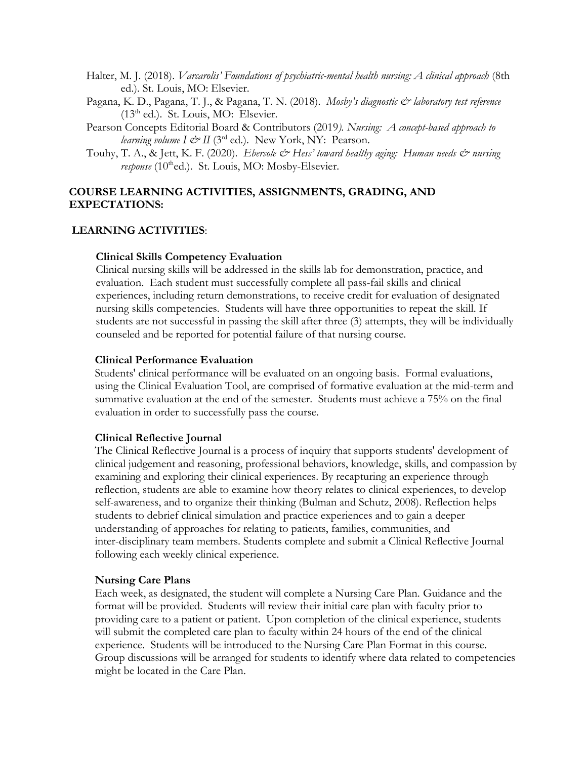- Halter, M. J. (2018). *Varcarolis' Foundations of psychiatric-mental health nursing: A clinical approach* (8th ed.). St. Louis, MO: Elsevier.
- Pagana, K. D., Pagana, T. J., & Pagana, T. N. (2018). *Mosby's diagnostic & laboratory test reference* (13<sup>th</sup> ed.). St. Louis, MO: Elsevier.
- Pearson Concepts Editorial Board & Contributors (2019*). Nursing: A concept-based approach to learning volume I*  $\mathcal{Q}^{\text{rd}}$  *II (3<sup>rd</sup> ed.).* New York, NY: Pearson.
- Touhy, T. A., & Jett, K. F. (2020). *Ebersole & Hess' toward healthy aging: Human needs & nursing response* (10<sup>th</sup>ed.). St. Louis, MO: Mosby-Elsevier.

### **COURSE LEARNING ACTIVITIES, ASSIGNMENTS, GRADING, AND EXPECTATIONS:**

#### **LEARNING ACTIVITIES**:

#### **Clinical Skills Competency Evaluation**

Clinical nursing skills will be addressed in the skills lab for demonstration, practice, and evaluation. Each student must successfully complete all pass-fail skills and clinical experiences, including return demonstrations, to receive credit for evaluation of designated nursing skills competencies. Students will have three opportunities to repeat the skill. If students are not successful in passing the skill after three (3) attempts, they will be individually counseled and be reported for potential failure of that nursing course.

#### **Clinical Performance Evaluation**

Students' clinical performance will be evaluated on an ongoing basis. Formal evaluations, using the Clinical Evaluation Tool, are comprised of formative evaluation at the mid-term and summative evaluation at the end of the semester. Students must achieve a 75% on the final evaluation in order to successfully pass the course.

#### **Clinical Reflective Journal**

The Clinical Reflective Journal is a process of inquiry that supports students' development of clinical judgement and reasoning, professional behaviors, knowledge, skills, and compassion by examining and exploring their clinical experiences. By recapturing an experience through reflection, students are able to examine how theory relates to clinical experiences, to develop self-awareness, and to organize their thinking (Bulman and Schutz, 2008). Reflection helps students to debrief clinical simulation and practice experiences and to gain a deeper understanding of approaches for relating to patients, families, communities, and inter-disciplinary team members. Students complete and submit a Clinical Reflective Journal following each weekly clinical experience.

#### **Nursing Care Plans**

Each week, as designated, the student will complete a Nursing Care Plan. Guidance and the format will be provided. Students will review their initial care plan with faculty prior to providing care to a patient or patient. Upon completion of the clinical experience, students will submit the completed care plan to faculty within 24 hours of the end of the clinical experience. Students will be introduced to the Nursing Care Plan Format in this course. Group discussions will be arranged for students to identify where data related to competencies might be located in the Care Plan.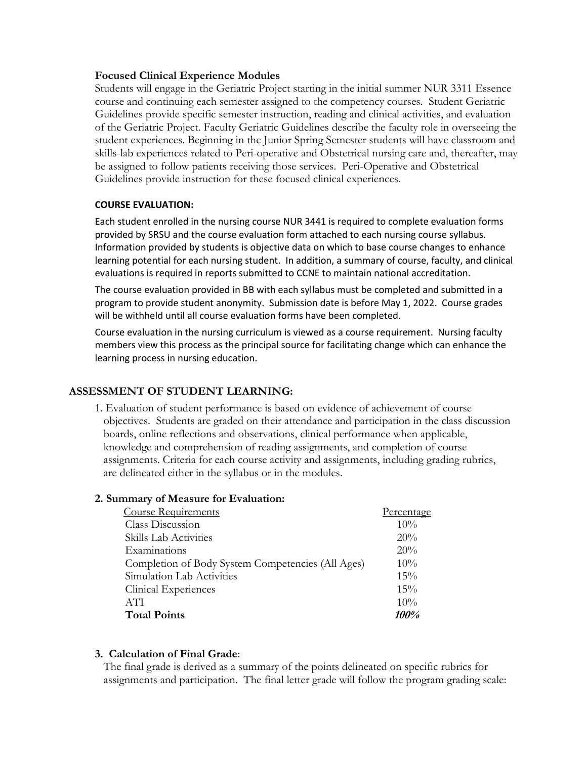#### **Focused Clinical Experience Modules**

Students will engage in the Geriatric Project starting in the initial summer NUR 3311 Essence course and continuing each semester assigned to the competency courses. Student Geriatric Guidelines provide specific semester instruction, reading and clinical activities, and evaluation of the Geriatric Project. Faculty Geriatric Guidelines describe the faculty role in overseeing the student experiences. Beginning in the Junior Spring Semester students will have classroom and skills-lab experiences related to Peri-operative and Obstetrical nursing care and, thereafter, may be assigned to follow patients receiving those services. Peri-Operative and Obstetrical Guidelines provide instruction for these focused clinical experiences.

#### **COURSE EVALUATION:**

Each student enrolled in the nursing course NUR 3441 is required to complete evaluation forms provided by SRSU and the course evaluation form attached to each nursing course syllabus. Information provided by students is objective data on which to base course changes to enhance learning potential for each nursing student. In addition, a summary of course, faculty, and clinical evaluations is required in reports submitted to CCNE to maintain national accreditation.

The course evaluation provided in BB with each syllabus must be completed and submitted in a program to provide student anonymity. Submission date is before May 1, 2022. Course grades will be withheld until all course evaluation forms have been completed.

Course evaluation in the nursing curriculum is viewed as a course requirement. Nursing faculty members view this process as the principal source for facilitating change which can enhance the learning process in nursing education.

#### **ASSESSMENT OF STUDENT LEARNING:**

1. Evaluation of student performance is based on evidence of achievement of course objectives. Students are graded on their attendance and participation in the class discussion boards, online reflections and observations, clinical performance when applicable, knowledge and comprehension of reading assignments, and completion of course assignments. Criteria for each course activity and assignments, including grading rubrics, are delineated either in the syllabus or in the modules.

#### **2. Summary of Measure for Evaluation:**

| <b>Course Requirements</b>                        | <u>Percentage</u> |
|---------------------------------------------------|-------------------|
| Class Discussion                                  | 10%               |
| Skills Lab Activities                             | 20%               |
| Examinations                                      | 20%               |
| Completion of Body System Competencies (All Ages) | 10%               |
| Simulation Lab Activities                         | 15%               |
| Clinical Experiences                              | 15%               |
| <b>ATI</b>                                        | 10%               |
| <b>Total Points</b>                               | <i>100%</i>       |

## **3. Calculation of Final Grade**:

The final grade is derived as a summary of the points delineated on specific rubrics for assignments and participation. The final letter grade will follow the program grading scale: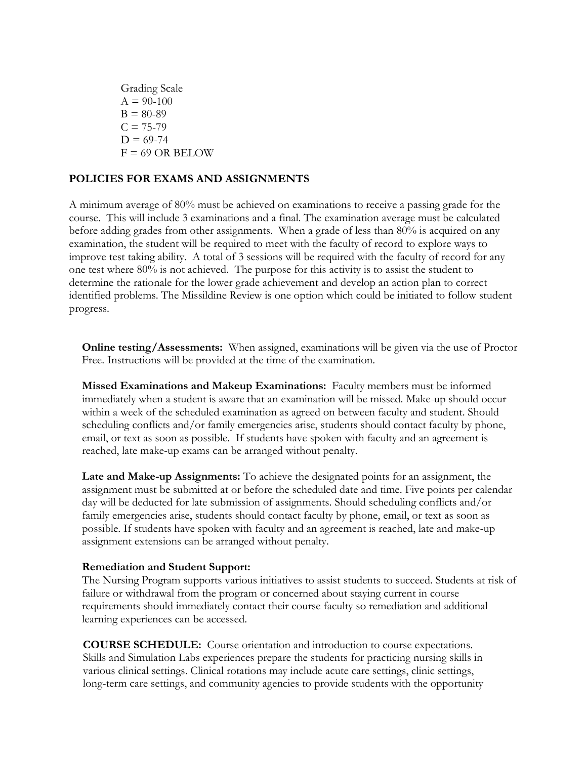Grading Scale  $A = 90-100$  $B = 80-89$  $C = 75-79$  $D = 69-74$  $F = 69$  OR BELOW

### **POLICIES FOR EXAMS AND ASSIGNMENTS**

A minimum average of 80% must be achieved on examinations to receive a passing grade for the course. This will include 3 examinations and a final. The examination average must be calculated before adding grades from other assignments. When a grade of less than 80% is acquired on any examination, the student will be required to meet with the faculty of record to explore ways to improve test taking ability. A total of 3 sessions will be required with the faculty of record for any one test where 80% is not achieved. The purpose for this activity is to assist the student to determine the rationale for the lower grade achievement and develop an action plan to correct identified problems. The Missildine Review is one option which could be initiated to follow student progress.

**Online testing/Assessments:** When assigned, examinations will be given via the use of Proctor Free. Instructions will be provided at the time of the examination.

**Missed Examinations and Makeup Examinations:** Faculty members must be informed immediately when a student is aware that an examination will be missed. Make-up should occur within a week of the scheduled examination as agreed on between faculty and student. Should scheduling conflicts and/or family emergencies arise, students should contact faculty by phone, email, or text as soon as possible. If students have spoken with faculty and an agreement is reached, late make-up exams can be arranged without penalty.

**Late and Make-up Assignments:** To achieve the designated points for an assignment, the assignment must be submitted at or before the scheduled date and time. Five points per calendar day will be deducted for late submission of assignments. Should scheduling conflicts and/or family emergencies arise, students should contact faculty by phone, email, or text as soon as possible. If students have spoken with faculty and an agreement is reached, late and make-up assignment extensions can be arranged without penalty.

#### **Remediation and Student Support:**

The Nursing Program supports various initiatives to assist students to succeed. Students at risk of failure or withdrawal from the program or concerned about staying current in course requirements should immediately contact their course faculty so remediation and additional learning experiences can be accessed.

**COURSE SCHEDULE:** Course orientation and introduction to course expectations. Skills and Simulation Labs experiences prepare the students for practicing nursing skills in various clinical settings. Clinical rotations may include acute care settings, clinic settings, long-term care settings, and community agencies to provide students with the opportunity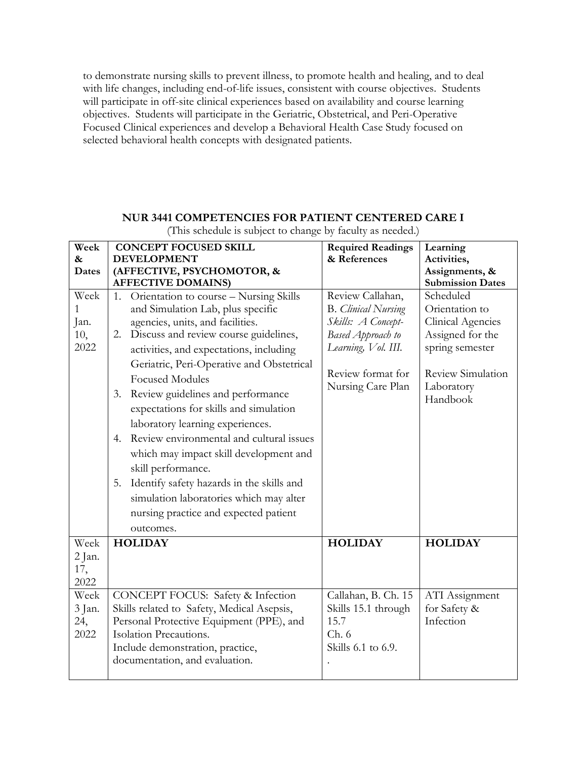to demonstrate nursing skills to prevent illness, to promote health and healing, and to deal with life changes, including end-of-life issues, consistent with course objectives. Students will participate in off-site clinical experiences based on availability and course learning objectives. Students will participate in the Geriatric, Obstetrical, and Peri-Operative Focused Clinical experiences and develop a Behavioral Health Case Study focused on selected behavioral health concepts with designated patients.

## **NUR 3441 COMPETENCIES FOR PATIENT CENTERED CARE I**

| Week         | <b>CONCEPT FOCUSED SKILL</b>                    | <b>Required Readings</b>   | Learning                 |
|--------------|-------------------------------------------------|----------------------------|--------------------------|
| $\&$         | <b>DEVELOPMENT</b>                              | & References               | Activities,              |
| <b>Dates</b> | (AFFECTIVE, PSYCHOMOTOR, &                      |                            | Assignments, &           |
|              | <b>AFFECTIVE DOMAINS)</b>                       |                            | <b>Submission Dates</b>  |
| Week         | Orientation to course - Nursing Skills<br>1.    | Review Callahan,           | Scheduled                |
| 1            | and Simulation Lab, plus specific               | <b>B.</b> Clinical Nursing | Orientation to           |
| Jan.         | agencies, units, and facilities.                | Skills: A Concept-         | <b>Clinical Agencies</b> |
| 10,          | Discuss and review course guidelines,<br>2.     | Based Approach to          | Assigned for the         |
| 2022         | activities, and expectations, including         | Learning, Vol. III.        | spring semester          |
|              | Geriatric, Peri-Operative and Obstetrical       | Review format for          | Review Simulation        |
|              | <b>Focused Modules</b>                          | Nursing Care Plan          | Laboratory               |
|              | Review guidelines and performance<br>3.         |                            | Handbook                 |
|              | expectations for skills and simulation          |                            |                          |
|              | laboratory learning experiences.                |                            |                          |
|              | Review environmental and cultural issues<br>4.  |                            |                          |
|              | which may impact skill development and          |                            |                          |
|              | skill performance.                              |                            |                          |
|              | Identify safety hazards in the skills and<br>5. |                            |                          |
|              | simulation laboratories which may alter         |                            |                          |
|              | nursing practice and expected patient           |                            |                          |
|              | outcomes.                                       |                            |                          |
| Week         | <b>HOLIDAY</b>                                  | <b>HOLIDAY</b>             | <b>HOLIDAY</b>           |
| 2 Jan.       |                                                 |                            |                          |
| 17,          |                                                 |                            |                          |
| 2022         |                                                 |                            |                          |
| Week         | CONCEPT FOCUS: Safety & Infection               | Callahan, B. Ch. 15        | ATI Assignment           |
| 3 Jan.       | Skills related to Safety, Medical Asepsis,      | Skills 15.1 through        | for Safety &             |
| 24,          | Personal Protective Equipment (PPE), and        | 15.7                       | Infection                |
| 2022         | Isolation Precautions.                          | Ch.6                       |                          |
|              | Include demonstration, practice,                | Skills 6.1 to 6.9.         |                          |
|              | documentation, and evaluation.                  |                            |                          |
|              |                                                 |                            |                          |

(This schedule is subject to change by faculty as needed.)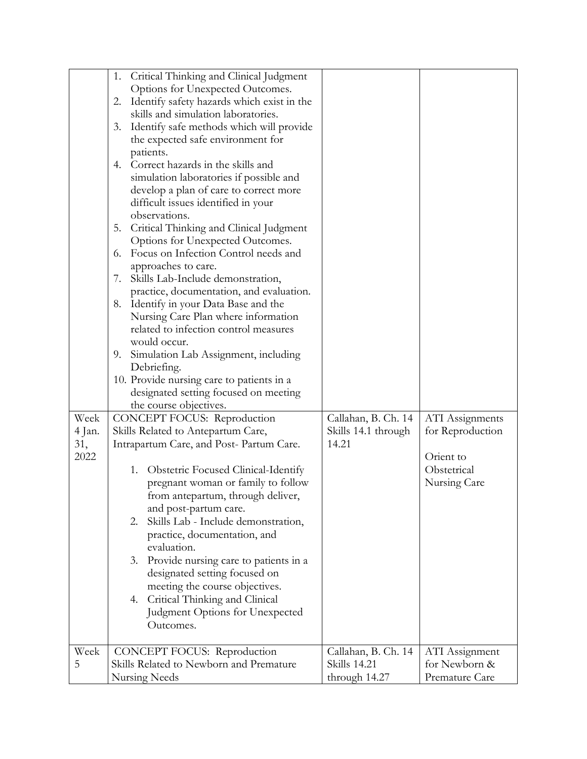|        | Critical Thinking and Clinical Judgment<br>1.                                |                     |                  |
|--------|------------------------------------------------------------------------------|---------------------|------------------|
|        | Options for Unexpected Outcomes.                                             |                     |                  |
|        | Identify safety hazards which exist in the<br>2.                             |                     |                  |
|        | skills and simulation laboratories.                                          |                     |                  |
|        | Identify safe methods which will provide<br>3.                               |                     |                  |
|        | the expected safe environment for                                            |                     |                  |
|        | patients.                                                                    |                     |                  |
|        | Correct hazards in the skills and<br>4.                                      |                     |                  |
|        | simulation laboratories if possible and                                      |                     |                  |
|        | develop a plan of care to correct more                                       |                     |                  |
|        | difficult issues identified in your                                          |                     |                  |
|        | observations.                                                                |                     |                  |
|        | Critical Thinking and Clinical Judgment<br>5.                                |                     |                  |
|        | Options for Unexpected Outcomes.                                             |                     |                  |
|        | Focus on Infection Control needs and<br>6.                                   |                     |                  |
|        |                                                                              |                     |                  |
|        | approaches to care.<br>7.                                                    |                     |                  |
|        | Skills Lab-Include demonstration,                                            |                     |                  |
|        | practice, documentation, and evaluation.                                     |                     |                  |
|        | Identify in your Data Base and the<br>8.                                     |                     |                  |
|        | Nursing Care Plan where information<br>related to infection control measures |                     |                  |
|        |                                                                              |                     |                  |
|        | would occur.                                                                 |                     |                  |
|        | 9. Simulation Lab Assignment, including                                      |                     |                  |
|        | Debriefing.                                                                  |                     |                  |
|        | 10. Provide nursing care to patients in a                                    |                     |                  |
|        | designated setting focused on meeting                                        |                     |                  |
|        | the course objectives.                                                       |                     |                  |
| Week   | CONCEPT FOCUS: Reproduction                                                  | Callahan, B. Ch. 14 | ATI Assignments  |
| 4 Jan. | Skills Related to Antepartum Care,                                           | Skills 14.1 through | for Reproduction |
| 31,    | Intrapartum Care, and Post-Partum Care.                                      | 14.21               |                  |
| 2022   |                                                                              |                     | Orient to        |
|        | 1. Obstetric Focused Clinical-Identify                                       |                     | Obstetrical      |
|        | pregnant woman or family to follow                                           |                     | Nursing Care     |
|        | from antepartum, through deliver,                                            |                     |                  |
|        | and post-partum care.                                                        |                     |                  |
|        | Skills Lab - Include demonstration,<br>2.                                    |                     |                  |
|        | practice, documentation, and                                                 |                     |                  |
|        | evaluation.                                                                  |                     |                  |
|        | Provide nursing care to patients in a<br>3.                                  |                     |                  |
|        | designated setting focused on                                                |                     |                  |
|        | meeting the course objectives.                                               |                     |                  |
|        | 4. Critical Thinking and Clinical                                            |                     |                  |
|        | Judgment Options for Unexpected                                              |                     |                  |
|        | Outcomes.                                                                    |                     |                  |
|        |                                                                              |                     |                  |
| Week   | CONCEPT FOCUS: Reproduction                                                  | Callahan, B. Ch. 14 | ATI Assignment   |
| 5      |                                                                              |                     |                  |
|        | Skills Related to Newborn and Premature                                      | <b>Skills</b> 14.21 | for Newborn &    |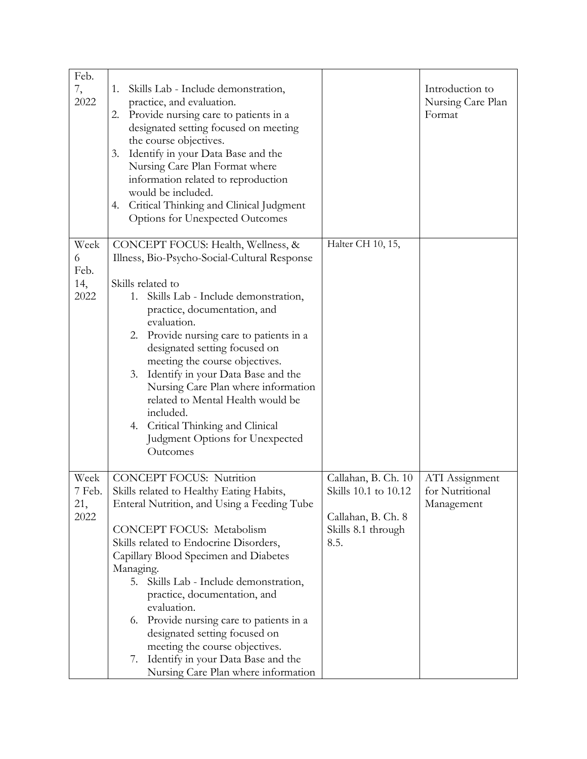| Feb.<br>7,<br>2022               | Skills Lab - Include demonstration,<br>1.<br>practice, and evaluation.<br>Provide nursing care to patients in a<br>2.<br>designated setting focused on meeting<br>the course objectives.<br>Identify in your Data Base and the<br>3.<br>Nursing Care Plan Format where<br>information related to reproduction<br>would be included.<br>Critical Thinking and Clinical Judgment<br>4.<br>Options for Unexpected Outcomes                                                                                                                               |                                                                                                 | Introduction to<br>Nursing Care Plan<br>Format  |
|----------------------------------|-------------------------------------------------------------------------------------------------------------------------------------------------------------------------------------------------------------------------------------------------------------------------------------------------------------------------------------------------------------------------------------------------------------------------------------------------------------------------------------------------------------------------------------------------------|-------------------------------------------------------------------------------------------------|-------------------------------------------------|
| Week<br>6<br>Feb.<br>14,<br>2022 | CONCEPT FOCUS: Health, Wellness, &<br>Illness, Bio-Psycho-Social-Cultural Response<br>Skills related to<br>1. Skills Lab - Include demonstration,<br>practice, documentation, and<br>evaluation.<br>2. Provide nursing care to patients in a<br>designated setting focused on<br>meeting the course objectives.<br>Identify in your Data Base and the<br>3.<br>Nursing Care Plan where information<br>related to Mental Health would be<br>included.<br>4. Critical Thinking and Clinical<br>Judgment Options for Unexpected<br>Outcomes              | Halter CH 10, 15,                                                                               |                                                 |
| Week<br>7 Feb.<br>21,<br>2022    | <b>CONCEPT FOCUS: Nutrition</b><br>Skills related to Healthy Eating Habits,<br>Enteral Nutrition, and Using a Feeding Tube<br>CONCEPT FOCUS: Metabolism<br>Skills related to Endocrine Disorders,<br>Capillary Blood Specimen and Diabetes<br>Managing.<br>5. Skills Lab - Include demonstration,<br>practice, documentation, and<br>evaluation.<br>Provide nursing care to patients in a<br>6.<br>designated setting focused on<br>meeting the course objectives.<br>Identify in your Data Base and the<br>7.<br>Nursing Care Plan where information | Callahan, B. Ch. 10<br>Skills 10.1 to 10.12<br>Callahan, B. Ch. 8<br>Skills 8.1 through<br>8.5. | ATI Assignment<br>for Nutritional<br>Management |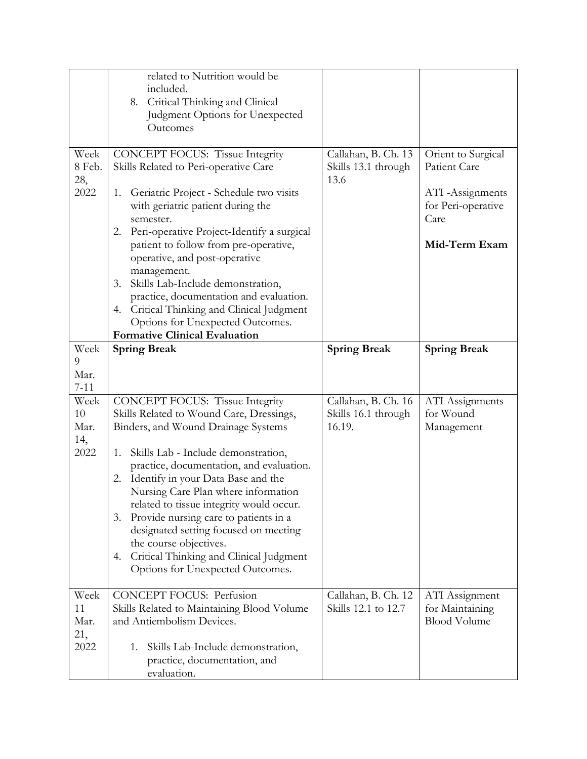|                                   | related to Nutrition would be<br>included.<br>8. Critical Thinking and Clinical<br>Judgment Options for Unexpected<br>Outcomes                                                                                                                                                                                                                                                                                                                                                                                                                           |                                                      |                                                                                                       |
|-----------------------------------|----------------------------------------------------------------------------------------------------------------------------------------------------------------------------------------------------------------------------------------------------------------------------------------------------------------------------------------------------------------------------------------------------------------------------------------------------------------------------------------------------------------------------------------------------------|------------------------------------------------------|-------------------------------------------------------------------------------------------------------|
| Week<br>8 Feb.<br>28,<br>2022     | <b>CONCEPT FOCUS: Tissue Integrity</b><br>Skills Related to Peri-operative Care<br>Geriatric Project - Schedule two visits<br>1.<br>with geriatric patient during the<br>semester.<br>2. Peri-operative Project-Identify a surgical<br>patient to follow from pre-operative,<br>operative, and post-operative<br>management.<br>Skills Lab-Include demonstration,<br>3.<br>practice, documentation and evaluation.<br>Critical Thinking and Clinical Judgment<br>4.<br>Options for Unexpected Outcomes.<br><b>Formative Clinical Evaluation</b>          | Callahan, B. Ch. 13<br>Skills 13.1 through<br>13.6   | Orient to Surgical<br>Patient Care<br>ATI -Assignments<br>for Peri-operative<br>Care<br>Mid-Term Exam |
| Week<br>9<br>Mar.<br>$7 - 11$     | <b>Spring Break</b>                                                                                                                                                                                                                                                                                                                                                                                                                                                                                                                                      | <b>Spring Break</b>                                  | <b>Spring Break</b>                                                                                   |
| Week<br>10<br>Mar.<br>14,<br>2022 | <b>CONCEPT FOCUS: Tissue Integrity</b><br>Skills Related to Wound Care, Dressings,<br>Binders, and Wound Drainage Systems<br>Skills Lab - Include demonstration,<br>1.<br>practice, documentation, and evaluation.<br>Identify in your Data Base and the<br>2.<br>Nursing Care Plan where information<br>related to tissue integrity would occur.<br>Provide nursing care to patients in a<br>3.<br>designated setting focused on meeting<br>the course objectives.<br>Critical Thinking and Clinical Judgment<br>4.<br>Options for Unexpected Outcomes. | Callahan, B. Ch. 16<br>Skills 16.1 through<br>16.19. | ATI Assignments<br>for Wound<br>Management                                                            |
| Week<br>11<br>Mar.<br>21,<br>2022 | <b>CONCEPT FOCUS: Perfusion</b><br>Skills Related to Maintaining Blood Volume<br>and Antiembolism Devices.<br>Skills Lab-Include demonstration,<br>1.<br>practice, documentation, and<br>evaluation.                                                                                                                                                                                                                                                                                                                                                     | Callahan, B. Ch. 12<br>Skills 12.1 to 12.7           | ATI Assignment<br>for Maintaining<br><b>Blood Volume</b>                                              |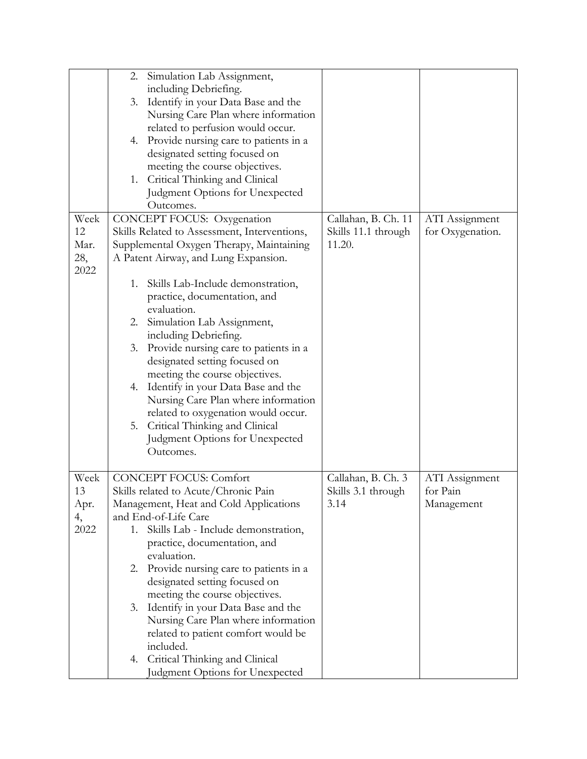|                           | Simulation Lab Assignment,<br>2.<br>including Debriefing.<br>Identify in your Data Base and the<br>3.<br>Nursing Care Plan where information<br>related to perfusion would occur.<br>Provide nursing care to patients in a<br>4.<br>designated setting focused on<br>meeting the course objectives.<br>1. Critical Thinking and Clinical<br>Judgment Options for Unexpected<br>Outcomes.                                                                                          |                               |                  |
|---------------------------|-----------------------------------------------------------------------------------------------------------------------------------------------------------------------------------------------------------------------------------------------------------------------------------------------------------------------------------------------------------------------------------------------------------------------------------------------------------------------------------|-------------------------------|------------------|
| Week                      | CONCEPT FOCUS: Oxygenation                                                                                                                                                                                                                                                                                                                                                                                                                                                        | Callahan, B. Ch. 11           | ATI Assignment   |
| 12<br>Mar.<br>28,<br>2022 | Skills Related to Assessment, Interventions,<br>Supplemental Oxygen Therapy, Maintaining<br>A Patent Airway, and Lung Expansion.                                                                                                                                                                                                                                                                                                                                                  | Skills 11.1 through<br>11.20. | for Oxygenation. |
|                           | Skills Lab-Include demonstration,<br>1.<br>practice, documentation, and<br>evaluation.<br>2. Simulation Lab Assignment,<br>including Debriefing.<br>Provide nursing care to patients in a<br>3.<br>designated setting focused on<br>meeting the course objectives.<br>Identify in your Data Base and the<br>4.<br>Nursing Care Plan where information<br>related to oxygenation would occur.<br>5. Critical Thinking and Clinical<br>Judgment Options for Unexpected<br>Outcomes. |                               |                  |
| Week                      | <b>CONCEPT FOCUS: Comfort</b>                                                                                                                                                                                                                                                                                                                                                                                                                                                     | Callahan, B. Ch. 3            | ATI Assignment   |
| 13                        | Skills related to Acute/Chronic Pain                                                                                                                                                                                                                                                                                                                                                                                                                                              | Skills 3.1 through            | for Pain         |
| Apr.<br>4,                | Management, Heat and Cold Applications<br>and End-of-Life Care                                                                                                                                                                                                                                                                                                                                                                                                                    | 3.14                          | Management       |
| 2022                      | Skills Lab - Include demonstration,<br>1.                                                                                                                                                                                                                                                                                                                                                                                                                                         |                               |                  |
|                           | practice, documentation, and                                                                                                                                                                                                                                                                                                                                                                                                                                                      |                               |                  |
|                           | evaluation.<br>2. Provide nursing care to patients in a                                                                                                                                                                                                                                                                                                                                                                                                                           |                               |                  |
|                           | designated setting focused on                                                                                                                                                                                                                                                                                                                                                                                                                                                     |                               |                  |
|                           | meeting the course objectives.                                                                                                                                                                                                                                                                                                                                                                                                                                                    |                               |                  |
|                           | Identify in your Data Base and the<br>3.                                                                                                                                                                                                                                                                                                                                                                                                                                          |                               |                  |
|                           | Nursing Care Plan where information<br>related to patient comfort would be                                                                                                                                                                                                                                                                                                                                                                                                        |                               |                  |
|                           | included.                                                                                                                                                                                                                                                                                                                                                                                                                                                                         |                               |                  |
|                           | 4. Critical Thinking and Clinical                                                                                                                                                                                                                                                                                                                                                                                                                                                 |                               |                  |
|                           | Judgment Options for Unexpected                                                                                                                                                                                                                                                                                                                                                                                                                                                   |                               |                  |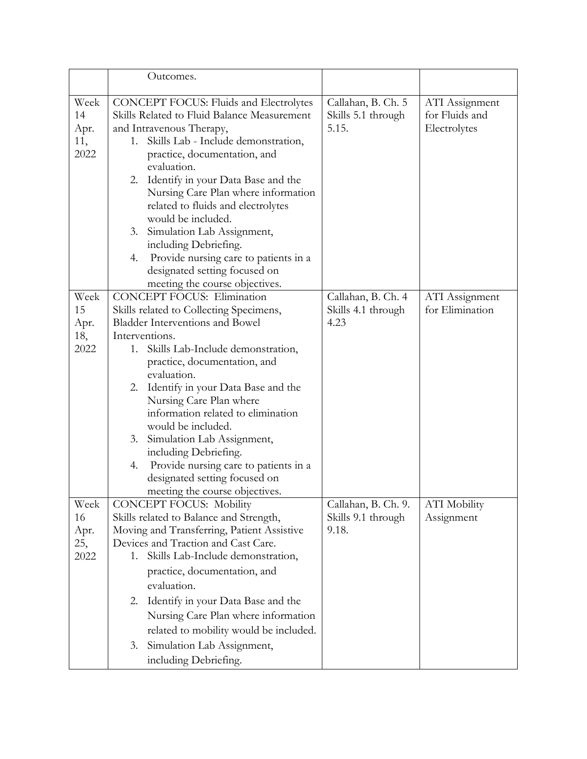|                                   | Outcomes.                                                                                                                                                                                                                                                                                                                                                                                                                                                                                                                                         |                                                    |                                                  |
|-----------------------------------|---------------------------------------------------------------------------------------------------------------------------------------------------------------------------------------------------------------------------------------------------------------------------------------------------------------------------------------------------------------------------------------------------------------------------------------------------------------------------------------------------------------------------------------------------|----------------------------------------------------|--------------------------------------------------|
| Week<br>14<br>Apr.<br>11,<br>2022 | <b>CONCEPT FOCUS: Fluids and Electrolytes</b><br>Skills Related to Fluid Balance Measurement<br>and Intravenous Therapy,<br>Skills Lab - Include demonstration,<br>1.<br>practice, documentation, and<br>evaluation.<br>2. Identify in your Data Base and the<br>Nursing Care Plan where information<br>related to fluids and electrolytes<br>would be included.<br>3. Simulation Lab Assignment,<br>including Debriefing.<br>Provide nursing care to patients in a<br>4.<br>designated setting focused on<br>meeting the course objectives.      | Callahan, B. Ch. 5<br>Skills 5.1 through<br>5.15.  | ATI Assignment<br>for Fluids and<br>Electrolytes |
| Week<br>15<br>Apr.<br>18,<br>2022 | <b>CONCEPT FOCUS: Elimination</b><br>Skills related to Collecting Specimens,<br><b>Bladder Interventions and Bowel</b><br>Interventions.<br>Skills Lab-Include demonstration,<br>1.<br>practice, documentation, and<br>evaluation.<br>2. Identify in your Data Base and the<br>Nursing Care Plan where<br>information related to elimination<br>would be included.<br>Simulation Lab Assignment,<br>3.<br>including Debriefing.<br>Provide nursing care to patients in a<br>4.<br>designated setting focused on<br>meeting the course objectives. | Callahan, B. Ch. 4<br>Skills 4.1 through<br>4.23   | <b>ATI</b> Assignment<br>for Elimination         |
| Week<br>16<br>Apr.<br>25,<br>2022 | <b>CONCEPT FOCUS: Mobility</b><br>Skills related to Balance and Strength,<br>Moving and Transferring, Patient Assistive<br>Devices and Traction and Cast Care.<br>Skills Lab-Include demonstration,<br>1.<br>practice, documentation, and<br>evaluation.<br>Identify in your Data Base and the<br>2.<br>Nursing Care Plan where information<br>related to mobility would be included.<br>3. Simulation Lab Assignment,<br>including Debriefing.                                                                                                   | Callahan, B. Ch. 9.<br>Skills 9.1 through<br>9.18. | <b>ATI</b> Mobility<br>Assignment                |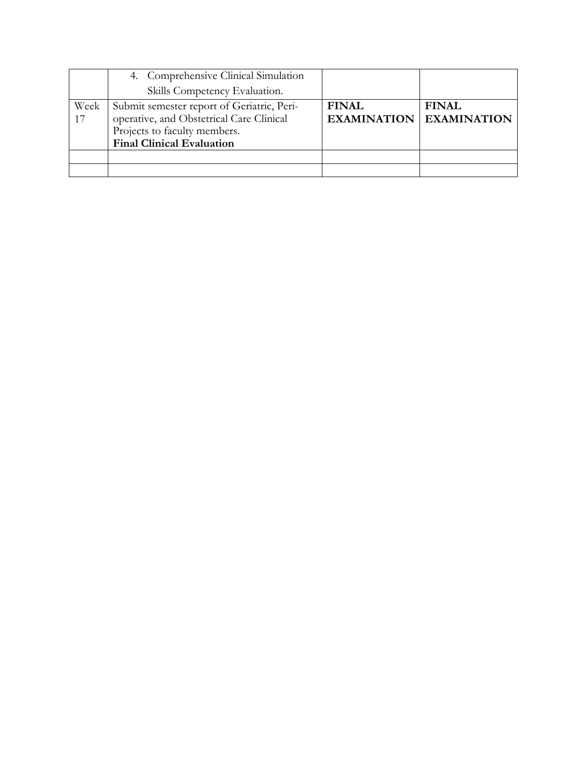|            | 4. Comprehensive Clinical Simulation<br>Skills Competency Evaluation.                                                                                      |                                    |                                    |
|------------|------------------------------------------------------------------------------------------------------------------------------------------------------------|------------------------------------|------------------------------------|
| Week<br>17 | Submit semester report of Geriatric, Peri-<br>operative, and Obstetrical Care Clinical<br>Projects to faculty members.<br><b>Final Clinical Evaluation</b> | <b>FINAL</b><br><b>EXAMINATION</b> | <b>FINAL</b><br><b>EXAMINATION</b> |
|            |                                                                                                                                                            |                                    |                                    |
|            |                                                                                                                                                            |                                    |                                    |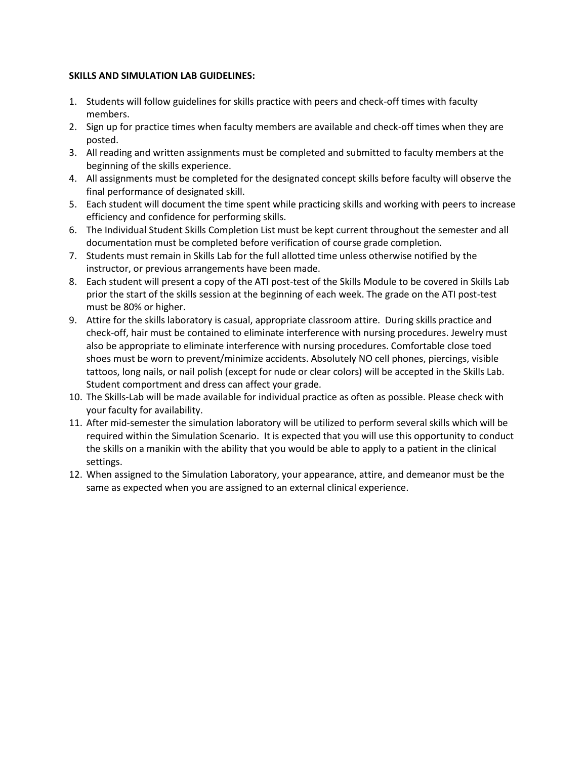#### **SKILLS AND SIMULATION LAB GUIDELINES:**

- 1. Students will follow guidelines for skills practice with peers and check-off times with faculty members.
- 2. Sign up for practice times when faculty members are available and check-off times when they are posted.
- 3. All reading and written assignments must be completed and submitted to faculty members at the beginning of the skills experience.
- 4. All assignments must be completed for the designated concept skills before faculty will observe the final performance of designated skill.
- 5. Each student will document the time spent while practicing skills and working with peers to increase efficiency and confidence for performing skills.
- 6. The Individual Student Skills Completion List must be kept current throughout the semester and all documentation must be completed before verification of course grade completion.
- 7. Students must remain in Skills Lab for the full allotted time unless otherwise notified by the instructor, or previous arrangements have been made.
- 8. Each student will present a copy of the ATI post-test of the Skills Module to be covered in Skills Lab prior the start of the skills session at the beginning of each week. The grade on the ATI post-test must be 80% or higher.
- 9. Attire for the skills laboratory is casual, appropriate classroom attire. During skills practice and check-off, hair must be contained to eliminate interference with nursing procedures. Jewelry must also be appropriate to eliminate interference with nursing procedures. Comfortable close toed shoes must be worn to prevent/minimize accidents. Absolutely NO cell phones, piercings, visible tattoos, long nails, or nail polish (except for nude or clear colors) will be accepted in the Skills Lab. Student comportment and dress can affect your grade.
- 10. The Skills-Lab will be made available for individual practice as often as possible. Please check with your faculty for availability.
- 11. After mid-semester the simulation laboratory will be utilized to perform several skills which will be required within the Simulation Scenario. It is expected that you will use this opportunity to conduct the skills on a manikin with the ability that you would be able to apply to a patient in the clinical settings.
- 12. When assigned to the Simulation Laboratory, your appearance, attire, and demeanor must be the same as expected when you are assigned to an external clinical experience.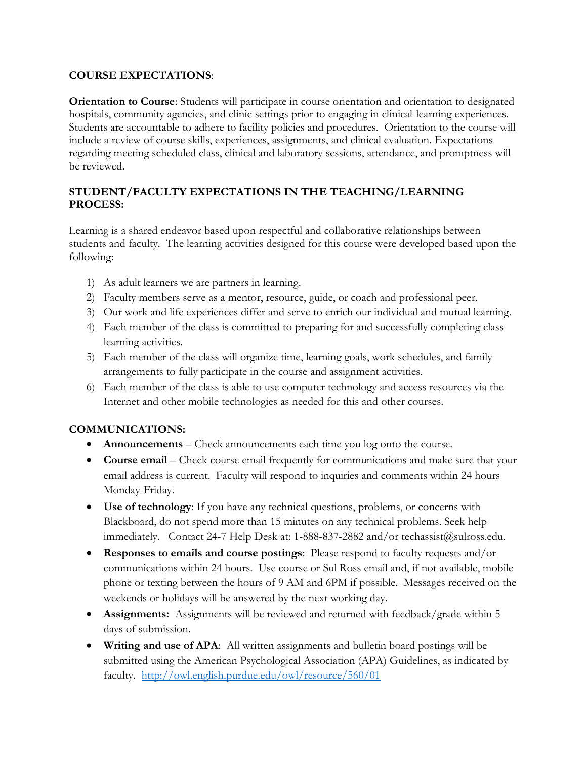## **COURSE EXPECTATIONS**:

**Orientation to Course**: Students will participate in course orientation and orientation to designated hospitals, community agencies, and clinic settings prior to engaging in clinical-learning experiences. Students are accountable to adhere to facility policies and procedures. Orientation to the course will include a review of course skills, experiences, assignments, and clinical evaluation. Expectations regarding meeting scheduled class, clinical and laboratory sessions, attendance, and promptness will be reviewed.

## **STUDENT/FACULTY EXPECTATIONS IN THE TEACHING/LEARNING PROCESS:**

Learning is a shared endeavor based upon respectful and collaborative relationships between students and faculty. The learning activities designed for this course were developed based upon the following:

- 1) As adult learners we are partners in learning.
- 2) Faculty members serve as a mentor, resource, guide, or coach and professional peer.
- 3) Our work and life experiences differ and serve to enrich our individual and mutual learning.
- 4) Each member of the class is committed to preparing for and successfully completing class learning activities.
- 5) Each member of the class will organize time, learning goals, work schedules, and family arrangements to fully participate in the course and assignment activities.
- 6) Each member of the class is able to use computer technology and access resources via the Internet and other mobile technologies as needed for this and other courses.

## **COMMUNICATIONS:**

- **Announcements**  Check announcements each time you log onto the course.
- **Course email** Check course email frequently for communications and make sure that your email address is current. Faculty will respond to inquiries and comments within 24 hours Monday-Friday.
- **Use of technology**: If you have any technical questions, problems, or concerns with Blackboard, do not spend more than 15 minutes on any technical problems. Seek help immediately. Contact 24-7 Help Desk at: 1-888-837-2882 and/or techassist@sulross.edu.
- **Responses to emails and course postings**: Please respond to faculty requests and/or communications within 24 hours. Use course or Sul Ross email and, if not available, mobile phone or texting between the hours of 9 AM and 6PM if possible. Messages received on the weekends or holidays will be answered by the next working day.
- **Assignments:** Assignments will be reviewed and returned with feedback/grade within 5 days of submission.
- **Writing and use of APA**: All written assignments and bulletin board postings will be submitted using the American Psychological Association (APA) Guidelines, as indicated by faculty. <http://owl.english.purdue.edu/owl/resource/560/01>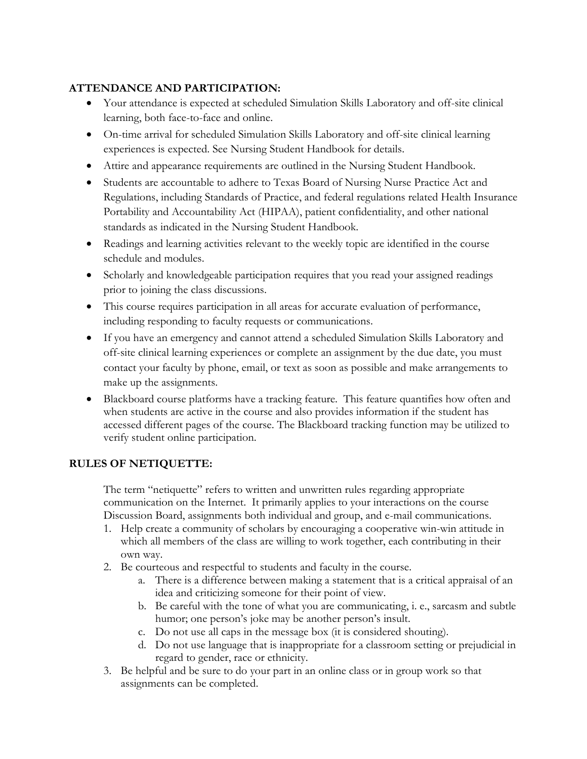## **ATTENDANCE AND PARTICIPATION:**

- Your attendance is expected at scheduled Simulation Skills Laboratory and off-site clinical learning, both face-to-face and online.
- On-time arrival for scheduled Simulation Skills Laboratory and off-site clinical learning experiences is expected. See Nursing Student Handbook for details.
- Attire and appearance requirements are outlined in the Nursing Student Handbook.
- Students are accountable to adhere to Texas Board of Nursing Nurse Practice Act and Regulations, including Standards of Practice, and federal regulations related Health Insurance Portability and Accountability Act (HIPAA), patient confidentiality, and other national standards as indicated in the Nursing Student Handbook.
- Readings and learning activities relevant to the weekly topic are identified in the course schedule and modules.
- Scholarly and knowledgeable participation requires that you read your assigned readings prior to joining the class discussions.
- This course requires participation in all areas for accurate evaluation of performance, including responding to faculty requests or communications.
- If you have an emergency and cannot attend a scheduled Simulation Skills Laboratory and off-site clinical learning experiences or complete an assignment by the due date, you must contact your faculty by phone, email, or text as soon as possible and make arrangements to make up the assignments.
- Blackboard course platforms have a tracking feature. This feature quantifies how often and when students are active in the course and also provides information if the student has accessed different pages of the course. The Blackboard tracking function may be utilized to verify student online participation.

## **RULES OF NETIQUETTE:**

The term "netiquette" refers to written and unwritten rules regarding appropriate communication on the Internet. It primarily applies to your interactions on the course Discussion Board, assignments both individual and group, and e-mail communications.

- 1. Help create a community of scholars by encouraging a cooperative win-win attitude in which all members of the class are willing to work together, each contributing in their own way.
- 2. Be courteous and respectful to students and faculty in the course.
	- a. There is a difference between making a statement that is a critical appraisal of an idea and criticizing someone for their point of view.
	- b. Be careful with the tone of what you are communicating, i. e., sarcasm and subtle humor; one person's joke may be another person's insult.
	- c. Do not use all caps in the message box (it is considered shouting).
	- d. Do not use language that is inappropriate for a classroom setting or prejudicial in regard to gender, race or ethnicity.
- 3. Be helpful and be sure to do your part in an online class or in group work so that assignments can be completed.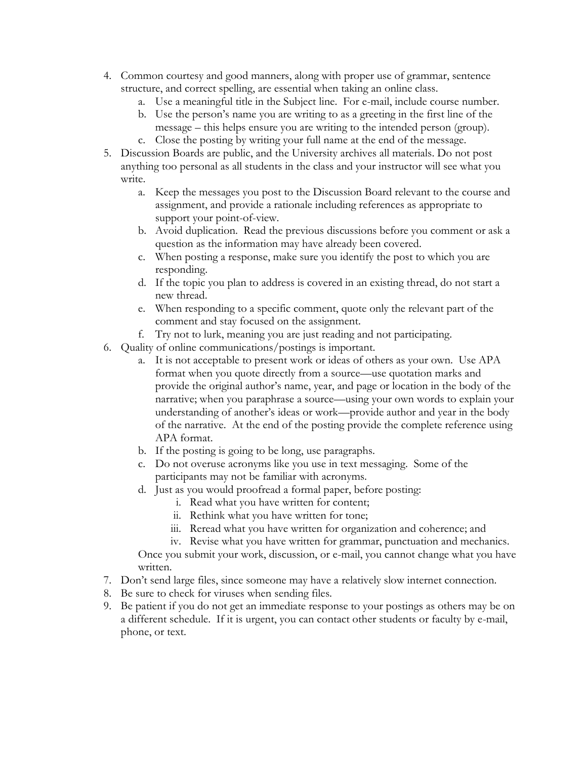- 4. Common courtesy and good manners, along with proper use of grammar, sentence structure, and correct spelling, are essential when taking an online class.
	- a. Use a meaningful title in the Subject line. For e-mail, include course number.
	- b. Use the person's name you are writing to as a greeting in the first line of the message – this helps ensure you are writing to the intended person (group).
	- c. Close the posting by writing your full name at the end of the message.
- 5. Discussion Boards are public, and the University archives all materials. Do not post anything too personal as all students in the class and your instructor will see what you write.
	- a. Keep the messages you post to the Discussion Board relevant to the course and assignment, and provide a rationale including references as appropriate to support your point-of-view.
	- b. Avoid duplication. Read the previous discussions before you comment or ask a question as the information may have already been covered.
	- c. When posting a response, make sure you identify the post to which you are responding.
	- d. If the topic you plan to address is covered in an existing thread, do not start a new thread.
	- e. When responding to a specific comment, quote only the relevant part of the comment and stay focused on the assignment.
	- f. Try not to lurk, meaning you are just reading and not participating.
- 6. Quality of online communications/postings is important.
	- a. It is not acceptable to present work or ideas of others as your own. Use APA format when you quote directly from a source—use quotation marks and provide the original author's name, year, and page or location in the body of the narrative; when you paraphrase a source—using your own words to explain your understanding of another's ideas or work—provide author and year in the body of the narrative. At the end of the posting provide the complete reference using APA format.
	- b. If the posting is going to be long, use paragraphs.
	- c. Do not overuse acronyms like you use in text messaging. Some of the participants may not be familiar with acronyms.
	- d. Just as you would proofread a formal paper, before posting:
		- i. Read what you have written for content;
		- ii. Rethink what you have written for tone;
		- iii. Reread what you have written for organization and coherence; and
		- iv. Revise what you have written for grammar, punctuation and mechanics.

Once you submit your work, discussion, or e-mail, you cannot change what you have written.

- 7. Don't send large files, since someone may have a relatively slow internet connection.
- 8. Be sure to check for viruses when sending files.
- 9. Be patient if you do not get an immediate response to your postings as others may be on a different schedule. If it is urgent, you can contact other students or faculty by e-mail, phone, or text.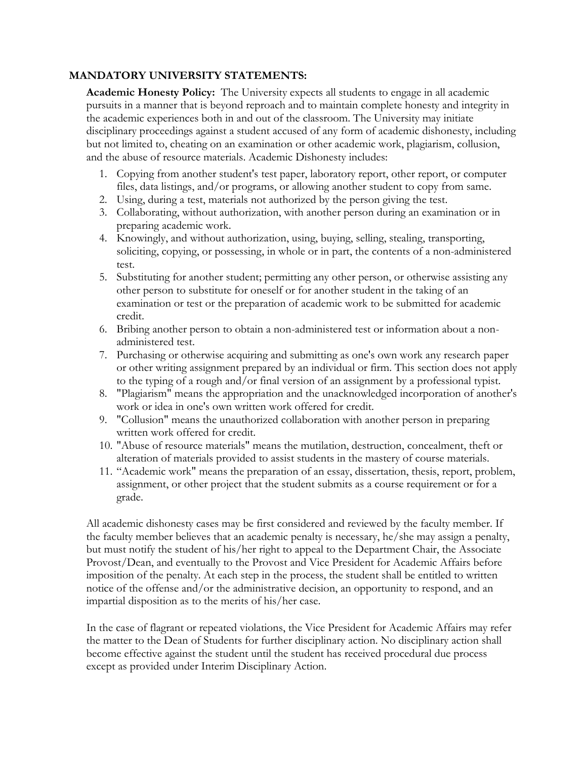## **MANDATORY UNIVERSITY STATEMENTS:**

**Academic Honesty Policy:** The University expects all students to engage in all academic pursuits in a manner that is beyond reproach and to maintain complete honesty and integrity in the academic experiences both in and out of the classroom. The University may initiate disciplinary proceedings against a student accused of any form of academic dishonesty, including but not limited to, cheating on an examination or other academic work, plagiarism, collusion, and the abuse of resource materials. Academic Dishonesty includes:

- 1. Copying from another student's test paper, laboratory report, other report, or computer files, data listings, and/or programs, or allowing another student to copy from same.
- 2. Using, during a test, materials not authorized by the person giving the test.
- 3. Collaborating, without authorization, with another person during an examination or in preparing academic work.
- 4. Knowingly, and without authorization, using, buying, selling, stealing, transporting, soliciting, copying, or possessing, in whole or in part, the contents of a non-administered test.
- 5. Substituting for another student; permitting any other person, or otherwise assisting any other person to substitute for oneself or for another student in the taking of an examination or test or the preparation of academic work to be submitted for academic credit.
- 6. Bribing another person to obtain a non-administered test or information about a nonadministered test.
- 7. Purchasing or otherwise acquiring and submitting as one's own work any research paper or other writing assignment prepared by an individual or firm. This section does not apply to the typing of a rough and/or final version of an assignment by a professional typist.
- 8. "Plagiarism" means the appropriation and the unacknowledged incorporation of another's work or idea in one's own written work offered for credit.
- 9. "Collusion" means the unauthorized collaboration with another person in preparing written work offered for credit.
- 10. "Abuse of resource materials" means the mutilation, destruction, concealment, theft or alteration of materials provided to assist students in the mastery of course materials.
- 11. "Academic work" means the preparation of an essay, dissertation, thesis, report, problem, assignment, or other project that the student submits as a course requirement or for a grade.

All academic dishonesty cases may be first considered and reviewed by the faculty member. If the faculty member believes that an academic penalty is necessary, he/she may assign a penalty, but must notify the student of his/her right to appeal to the Department Chair, the Associate Provost/Dean, and eventually to the Provost and Vice President for Academic Affairs before imposition of the penalty. At each step in the process, the student shall be entitled to written notice of the offense and/or the administrative decision, an opportunity to respond, and an impartial disposition as to the merits of his/her case.

In the case of flagrant or repeated violations, the Vice President for Academic Affairs may refer the matter to the Dean of Students for further disciplinary action. No disciplinary action shall become effective against the student until the student has received procedural due process except as provided under Interim Disciplinary Action.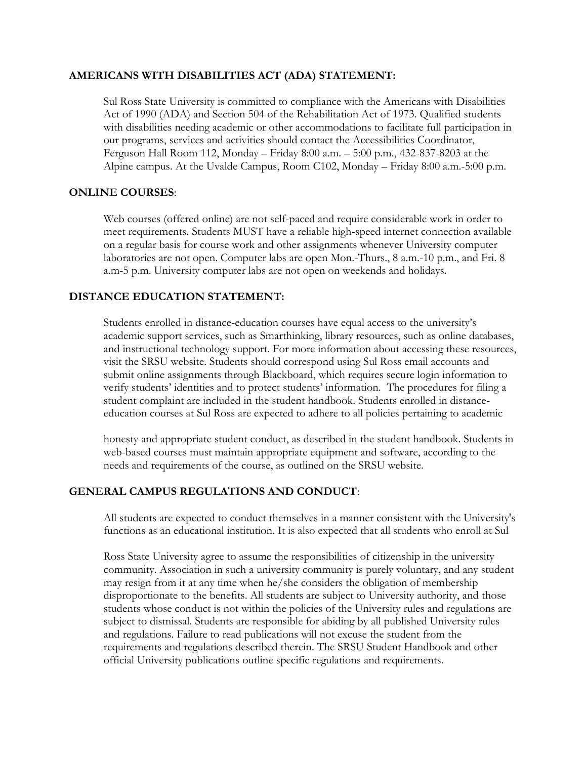### **AMERICANS WITH DISABILITIES ACT (ADA) STATEMENT:**

Sul Ross State University is committed to compliance with the Americans with Disabilities Act of 1990 (ADA) and Section 504 of the Rehabilitation Act of 1973. Qualified students with disabilities needing academic or other accommodations to facilitate full participation in our programs, services and activities should contact the Accessibilities Coordinator, Ferguson Hall Room 112, Monday – Friday 8:00 a.m. – 5:00 p.m., 432-837-8203 at the Alpine campus. At the Uvalde Campus, Room C102, Monday – Friday 8:00 a.m.-5:00 p.m.

#### **ONLINE COURSES**:

Web courses (offered online) are not self-paced and require considerable work in order to meet requirements. Students MUST have a reliable high-speed internet connection available on a regular basis for course work and other assignments whenever University computer laboratories are not open. Computer labs are open Mon.-Thurs., 8 a.m.-10 p.m., and Fri. 8 a.m-5 p.m. University computer labs are not open on weekends and holidays.

#### **DISTANCE EDUCATION STATEMENT:**

Students enrolled in distance-education courses have equal access to the university's academic support services, such as Smarthinking, library resources, such as online databases, and instructional technology support. For more information about accessing these resources, visit the SRSU website. Students should correspond using Sul Ross email accounts and submit online assignments through Blackboard, which requires secure login information to verify students' identities and to protect students' information. The procedures for filing a student complaint are included in the student handbook. Students enrolled in distanceeducation courses at Sul Ross are expected to adhere to all policies pertaining to academic

honesty and appropriate student conduct, as described in the student handbook. Students in web-based courses must maintain appropriate equipment and software, according to the needs and requirements of the course, as outlined on the SRSU website.

#### **GENERAL CAMPUS REGULATIONS AND CONDUCT**:

All students are expected to conduct themselves in a manner consistent with the University's functions as an educational institution. It is also expected that all students who enroll at Sul

Ross State University agree to assume the responsibilities of citizenship in the university community. Association in such a university community is purely voluntary, and any student may resign from it at any time when he/she considers the obligation of membership disproportionate to the benefits. All students are subject to University authority, and those students whose conduct is not within the policies of the University rules and regulations are subject to dismissal. Students are responsible for abiding by all published University rules and regulations. Failure to read publications will not excuse the student from the requirements and regulations described therein. The SRSU Student Handbook and other official University publications outline specific regulations and requirements.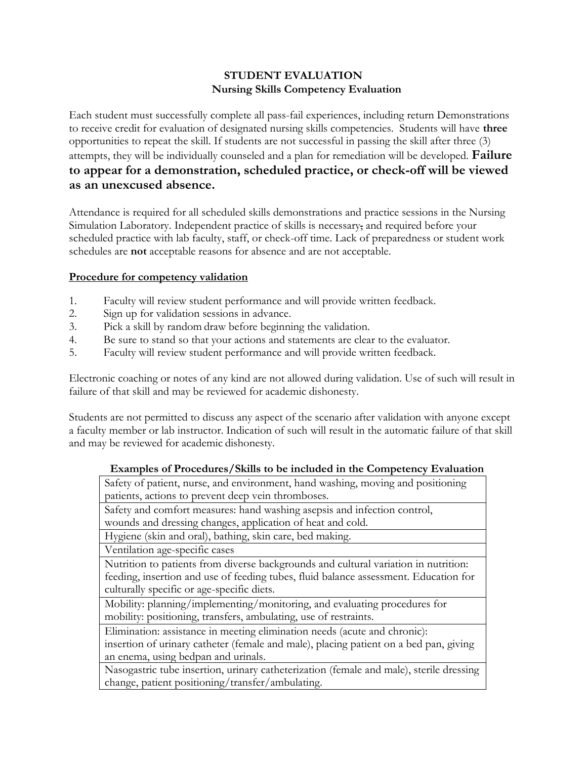## **STUDENT EVALUATION Nursing Skills Competency Evaluation**

Each student must successfully complete all pass-fail experiences, including return Demonstrations to receive credit for evaluation of designated nursing skills competencies. Students will have **three**  opportunities to repeat the skill. If students are not successful in passing the skill after three (3) attempts, they will be individually counseled and a plan for remediation will be developed. **Failure to appear for a demonstration, scheduled practice, or check-off will be viewed as an unexcused absence.**

Attendance is required for all scheduled skills demonstrations and practice sessions in the Nursing Simulation Laboratory. Independent practice of skills is necessary, and required before your scheduled practice with lab faculty, staff, or check-off time. Lack of preparedness or student work schedules are **not** acceptable reasons for absence and are not acceptable.

## **Procedure for competency validation**

- 1. Faculty will review student performance and will provide written feedback.
- 2. Sign up for validation sessions in advance.
- 3. Pick a skill by random draw before beginning the validation.
- 4. Be sure to stand so that your actions and statements are clear to the evaluator.
- 5. Faculty will review student performance and will provide written feedback.

Electronic coaching or notes of any kind are not allowed during validation. Use of such will result in failure of that skill and may be reviewed for academic dishonesty.

Students are not permitted to discuss any aspect of the scenario after validation with anyone except a faculty member or lab instructor. Indication of such will result in the automatic failure of that skill and may be reviewed for academic dishonesty.

### **Examples of Procedures/Skills to be included in the Competency Evaluation**

Safety of patient, nurse, and environment, hand washing, moving and positioning patients, actions to prevent deep vein thromboses.

Safety and comfort measures: hand washing asepsis and infection control, wounds and dressing changes, application of heat and cold.

Hygiene (skin and oral), bathing, skin care, bed making.

Ventilation age-specific cases

Nutrition to patients from diverse backgrounds and cultural variation in nutrition: feeding, insertion and use of feeding tubes, fluid balance assessment. Education for culturally specific or age-specific diets.

Mobility: planning/implementing/monitoring, and evaluating procedures for mobility: positioning, transfers, ambulating, use of restraints.

Elimination: assistance in meeting elimination needs (acute and chronic):

insertion of urinary catheter (female and male), placing patient on a bed pan, giving an enema, using bedpan and urinals.

Nasogastric tube insertion, urinary catheterization (female and male), sterile dressing change, patient positioning/transfer/ambulating.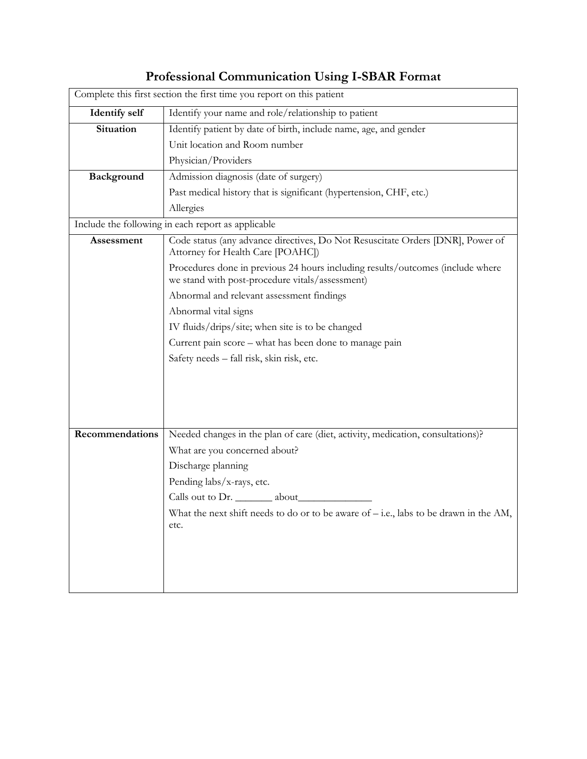|                      | Complete this first section the first time you report on this patient                                                             |
|----------------------|-----------------------------------------------------------------------------------------------------------------------------------|
| <b>Identify self</b> | Identify your name and role/relationship to patient                                                                               |
| Situation            | Identify patient by date of birth, include name, age, and gender                                                                  |
|                      | Unit location and Room number                                                                                                     |
|                      | Physician/Providers                                                                                                               |
| Background           | Admission diagnosis (date of surgery)                                                                                             |
|                      | Past medical history that is significant (hypertension, CHF, etc.)                                                                |
|                      | Allergies                                                                                                                         |
|                      | Include the following in each report as applicable                                                                                |
| Assessment           | Code status (any advance directives, Do Not Resuscitate Orders [DNR], Power of<br>Attorney for Health Care [POAHC])               |
|                      | Procedures done in previous 24 hours including results/outcomes (include where<br>we stand with post-procedure vitals/assessment) |
|                      | Abnormal and relevant assessment findings                                                                                         |
|                      | Abnormal vital signs                                                                                                              |
|                      | IV fluids/drips/site; when site is to be changed                                                                                  |
|                      | Current pain score - what has been done to manage pain                                                                            |
|                      | Safety needs - fall risk, skin risk, etc.                                                                                         |
|                      |                                                                                                                                   |
|                      |                                                                                                                                   |
|                      |                                                                                                                                   |
|                      |                                                                                                                                   |
| Recommendations      | Needed changes in the plan of care (diet, activity, medication, consultations)?                                                   |
|                      | What are you concerned about?                                                                                                     |
|                      | Discharge planning                                                                                                                |
|                      | Pending labs/x-rays, etc.                                                                                                         |
|                      | Calls out to Dr. ________ about______                                                                                             |
|                      | What the next shift needs to do or to be aware of $-$ i.e., labs to be drawn in the AM,<br>etc.                                   |
|                      |                                                                                                                                   |
|                      |                                                                                                                                   |
|                      |                                                                                                                                   |
|                      |                                                                                                                                   |

# **Professional Communication Using I-SBAR Format**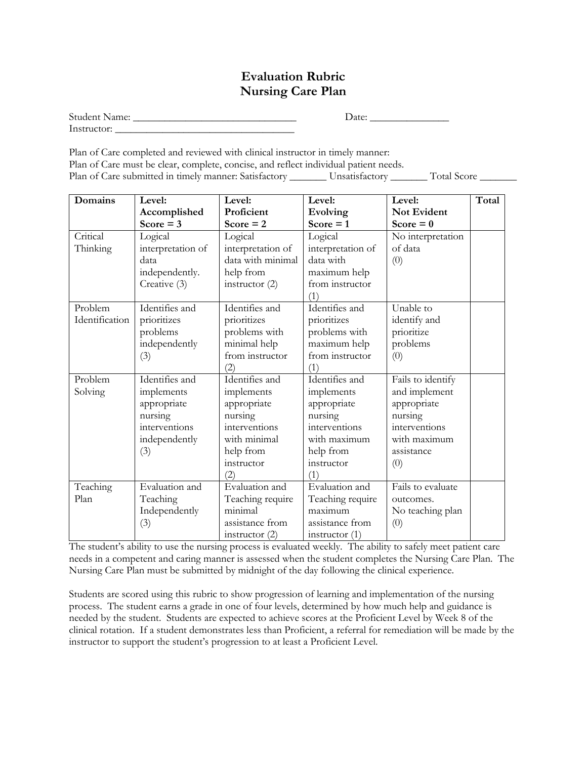## **Evaluation Rubric Nursing Care Plan**

| <b>Student Name:</b> | $\Delta$ Date: |  |
|----------------------|----------------|--|
| Instructor:          |                |  |

Plan of Care completed and reviewed with clinical instructor in timely manner: Plan of Care must be clear, complete, concise, and reflect individual patient needs. Plan of Care submitted in timely manner: Satisfactory \_\_\_\_\_\_\_\_\_ Unsatisfactory \_\_\_\_\_\_\_\_ Total Score \_\_\_\_\_\_\_\_\_

| Domains        | Level:            | Level:            | Level:            | Level:            | Total |
|----------------|-------------------|-------------------|-------------------|-------------------|-------|
|                | Accomplished      | Proficient        | Evolving          | Not Evident       |       |
|                | Score $=$ 3       | Score $= 2$       | Score $= 1$       | Score = $0$       |       |
| Critical       | Logical           | Logical           | Logical           | No interpretation |       |
| Thinking       | interpretation of | interpretation of | interpretation of | of data           |       |
|                | data              | data with minimal | data with         | (0)               |       |
|                | independently.    | help from         | maximum help      |                   |       |
|                | Creative (3)      | instructor $(2)$  | from instructor   |                   |       |
|                |                   |                   | (1)               |                   |       |
| Problem        | Identifies and    | Identifies and    | Identifies and    | Unable to         |       |
| Identification | prioritizes       | prioritizes       | prioritizes       | identify and      |       |
|                | problems          | problems with     | problems with     | prioritize        |       |
|                | independently     | minimal help      | maximum help      | problems          |       |
|                | (3)               | from instructor   | from instructor   | (0)               |       |
|                |                   | (2)               | (1)               |                   |       |
| Problem        | Identifies and    | Identifies and    | Identifies and    | Fails to identify |       |
| Solving        | implements        | implements        | implements        | and implement     |       |
|                | appropriate       | appropriate       | appropriate       | appropriate       |       |
|                | nursing           | nursing           | nursing           | nursing           |       |
|                | interventions     | interventions     | interventions     | interventions     |       |
|                | independently     | with minimal      | with maximum      | with maximum      |       |
|                | (3)               | help from         | help from         | assistance        |       |
|                |                   | instructor        | instructor        | (0)               |       |
|                |                   | $\left( 2\right)$ | (1)               |                   |       |
| Teaching       | Evaluation and    | Evaluation and    | Evaluation and    | Fails to evaluate |       |
| Plan           | Teaching          | Teaching require  | Teaching require  | outcomes.         |       |
|                | Independently     | minimal           | maximum           | No teaching plan  |       |
|                | (3)               | assistance from   | assistance from   | (0)               |       |
|                |                   | instructor $(2)$  | instructor $(1)$  |                   |       |

The student's ability to use the nursing process is evaluated weekly. The ability to safely meet patient care needs in a competent and caring manner is assessed when the student completes the Nursing Care Plan. The Nursing Care Plan must be submitted by midnight of the day following the clinical experience.

Students are scored using this rubric to show progression of learning and implementation of the nursing process. The student earns a grade in one of four levels, determined by how much help and guidance is needed by the student. Students are expected to achieve scores at the Proficient Level by Week 8 of the clinical rotation. If a student demonstrates less than Proficient, a referral for remediation will be made by the instructor to support the student's progression to at least a Proficient Level.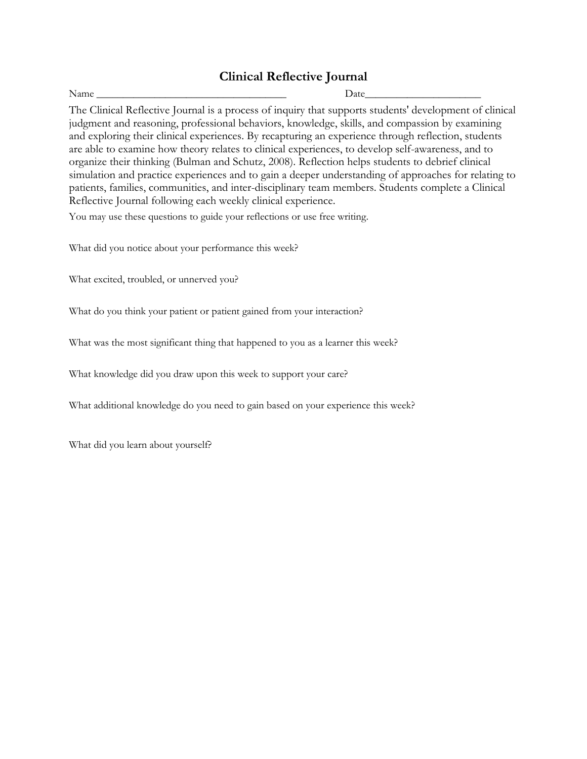## **Clinical Reflective Journal**

Name \_\_\_\_\_\_\_\_\_\_\_\_\_\_\_\_\_\_\_\_\_\_\_\_\_\_\_\_\_\_\_\_\_\_\_\_ Date\_\_\_\_\_\_\_\_\_\_\_\_\_\_\_\_\_\_\_\_\_\_

The Clinical Reflective Journal is a process of inquiry that supports students' development of clinical judgment and reasoning, professional behaviors, knowledge, skills, and compassion by examining and exploring their clinical experiences. By recapturing an experience through reflection, students are able to examine how theory relates to clinical experiences, to develop self-awareness, and to organize their thinking (Bulman and Schutz, 2008). Reflection helps students to debrief clinical simulation and practice experiences and to gain a deeper understanding of approaches for relating to patients, families, communities, and inter-disciplinary team members. Students complete a Clinical Reflective Journal following each weekly clinical experience.

You may use these questions to guide your reflections or use free writing.

What did you notice about your performance this week?

What excited, troubled, or unnerved you?

What do you think your patient or patient gained from your interaction?

What was the most significant thing that happened to you as a learner this week?

What knowledge did you draw upon this week to support your care?

What additional knowledge do you need to gain based on your experience this week?

What did you learn about yourself?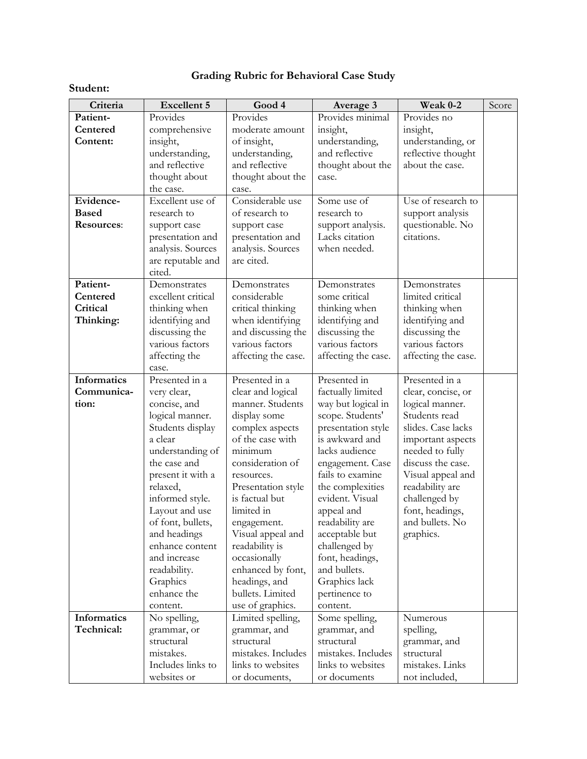## **Grading Rubric for Behavioral Case Study**

## **Student:**

| Criteria     | <b>Excellent 5</b> | Good 4              | Average 3           | Weak 0-2            | Score |
|--------------|--------------------|---------------------|---------------------|---------------------|-------|
| Patient-     | Provides           | Provides            | Provides minimal    | Provides no         |       |
| Centered     | comprehensive      | moderate amount     | insight,            | insight,            |       |
| Content:     | insight,           | of insight,         | understanding,      | understanding, or   |       |
|              | understanding,     | understanding,      | and reflective      | reflective thought  |       |
|              | and reflective     | and reflective      | thought about the   | about the case.     |       |
|              | thought about      | thought about the   | case.               |                     |       |
|              | the case.          | case.               |                     |                     |       |
| Evidence-    | Excellent use of   | Considerable use    | Some use of         | Use of research to  |       |
| <b>Based</b> | research to        | of research to      | research to         | support analysis    |       |
| Resources:   | support case       | support case        | support analysis.   | questionable. No    |       |
|              | presentation and   | presentation and    | Lacks citation      | citations.          |       |
|              | analysis. Sources  | analysis. Sources   | when needed.        |                     |       |
|              | are reputable and  | are cited.          |                     |                     |       |
|              | cited.             |                     |                     |                     |       |
| Patient-     | Demonstrates       | Demonstrates        | Demonstrates        | Demonstrates        |       |
| Centered     | excellent critical | considerable        | some critical       | limited critical    |       |
| Critical     | thinking when      | critical thinking   | thinking when       | thinking when       |       |
| Thinking:    | identifying and    | when identifying    | identifying and     | identifying and     |       |
|              | discussing the     | and discussing the  | discussing the      | discussing the      |       |
|              | various factors    | various factors     | various factors     | various factors     |       |
|              | affecting the      | affecting the case. | affecting the case. | affecting the case. |       |
|              | case.              |                     |                     |                     |       |
| Informatics  | Presented in a     | Presented in a      | Presented in        | Presented in a      |       |
| Communica-   | very clear,        | clear and logical   | factually limited   | clear, concise, or  |       |
| tion:        | concise, and       | manner. Students    | way but logical in  | logical manner.     |       |
|              | logical manner.    | display some        | scope. Students'    | Students read       |       |
|              | Students display   | complex aspects     | presentation style  | slides. Case lacks  |       |
|              | a clear            | of the case with    | is awkward and      | important aspects   |       |
|              | understanding of   | minimum             | lacks audience      | needed to fully     |       |
|              | the case and       | consideration of    | engagement. Case    | discuss the case.   |       |
|              | present it with a  | resources.          | fails to examine    | Visual appeal and   |       |
|              | relaxed,           | Presentation style  | the complexities    | readability are     |       |
|              | informed style.    | is factual but      | evident. Visual     | challenged by       |       |
|              | Layout and use     | limited in          | appeal and          | font, headings,     |       |
|              | of font, bullets,  | engagement.         | readability are     | and bullets. No     |       |
|              | and headings       | Visual appeal and   | acceptable but      | graphics.           |       |
|              | enhance content    | readability is      | challenged by       |                     |       |
|              | and increase       | occasionally        | font, headings,     |                     |       |
|              | readability.       | enhanced by font,   | and bullets.        |                     |       |
|              | Graphics           | headings, and       | Graphics lack       |                     |       |
|              | enhance the        | bullets. Limited    | pertinence to       |                     |       |
|              | content.           | use of graphics.    | content.            |                     |       |
| Informatics  | No spelling,       | Limited spelling,   | Some spelling,      | Numerous            |       |
| Technical:   | grammar, or        | grammar, and        | grammar, and        | spelling,           |       |
|              | structural         | structural          | structural          | grammar, and        |       |
|              | mistakes.          | mistakes. Includes  | mistakes. Includes  | structural          |       |
|              | Includes links to  | links to websites   | links to websites   | mistakes. Links     |       |
|              | websites or        | or documents,       | or documents        | not included,       |       |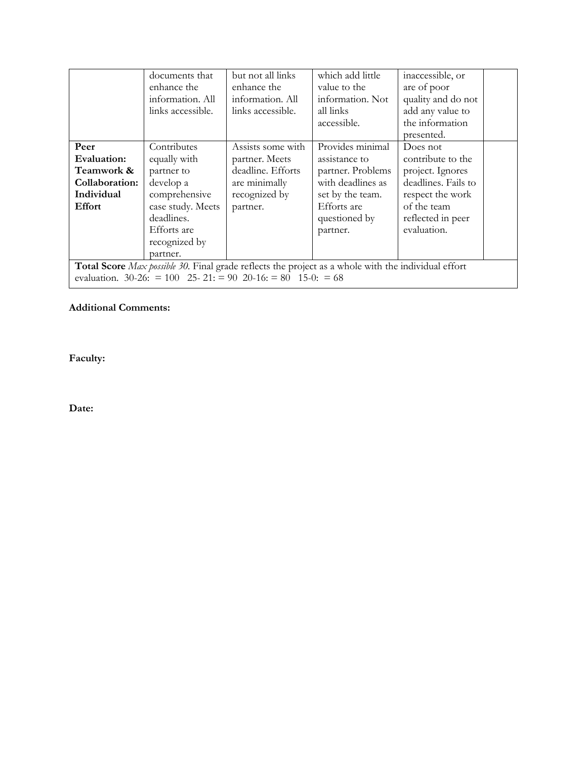|                                                                                                                                                                           | documents that<br>enhance the<br>information. All<br>links accessible.                                                                                 | but not all links<br>enhance the<br>information. All<br>links accessible.                              | which add little<br>value to the<br>information. Not<br>all links<br>accessible.                                                            | inaccessible, or<br>are of poor<br>quality and do not<br>add any value to<br>the information<br>presented.                                      |  |  |
|---------------------------------------------------------------------------------------------------------------------------------------------------------------------------|--------------------------------------------------------------------------------------------------------------------------------------------------------|--------------------------------------------------------------------------------------------------------|---------------------------------------------------------------------------------------------------------------------------------------------|-------------------------------------------------------------------------------------------------------------------------------------------------|--|--|
| Peer<br>Evaluation:<br>Teamwork &<br>Collaboration:<br>Individual<br><b>Effort</b>                                                                                        | Contributes<br>equally with<br>partner to<br>develop a<br>comprehensive<br>case study. Meets<br>deadlines.<br>Efforts are<br>recognized by<br>partner. | Assists some with<br>partner. Meets<br>deadline. Efforts<br>are minimally<br>recognized by<br>partner. | Provides minimal<br>assistance to<br>partner. Problems<br>with deadlines as<br>set by the team.<br>Efforts are<br>questioned by<br>partner. | Does not<br>contribute to the<br>project. Ignores<br>deadlines. Fails to<br>respect the work<br>of the team<br>reflected in peer<br>evaluation. |  |  |
| <b>Total Score</b> Max possible 30. Final grade reflects the project as a whole with the individual effort<br>evaluation. 30-26: = 100 25-21: = 90 20-16: = 80 15-0: = 68 |                                                                                                                                                        |                                                                                                        |                                                                                                                                             |                                                                                                                                                 |  |  |

### **Additional Comments:**

**Faculty:**

**Date:**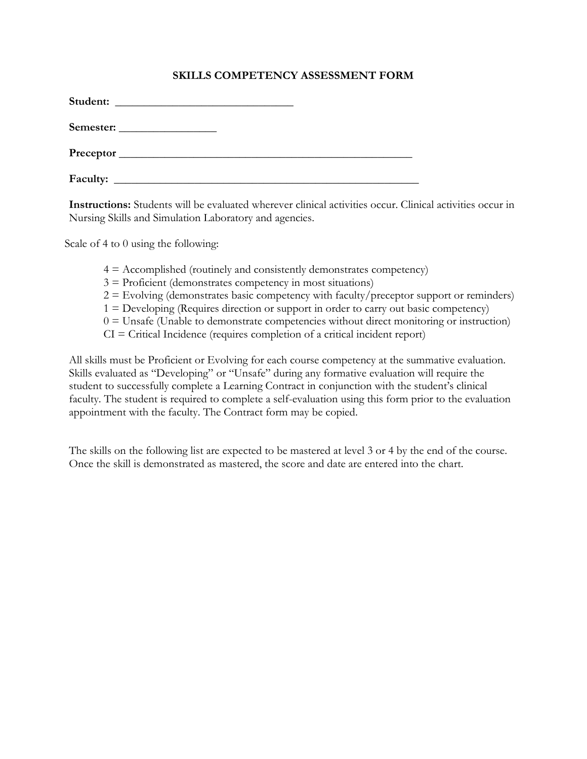### **SKILLS COMPETENCY ASSESSMENT FORM**

| Student:        | <u> 1980 - Andrea Station, amerikan bestean ing disebut di parti di parti di parti di parti di parti di parti di</u> |  |  |
|-----------------|----------------------------------------------------------------------------------------------------------------------|--|--|
|                 | Semester:                                                                                                            |  |  |
|                 |                                                                                                                      |  |  |
| <b>Faculty:</b> |                                                                                                                      |  |  |

**Instructions:** Students will be evaluated wherever clinical activities occur. Clinical activities occur in Nursing Skills and Simulation Laboratory and agencies.

Scale of 4 to 0 using the following:

- $4 =$  Accomplished (routinely and consistently demonstrates competency)
- $3 =$  Proficient (demonstrates competency in most situations)
- $2 =$  Evolving (demonstrates basic competency with faculty/preceptor support or reminders)
- 1 = Developing (Requires direction or support in order to carry out basic competency)
- $0 =$  Unsafe (Unable to demonstrate competencies without direct monitoring or instruction)
- $CI = Critical$  Incidence (requires completion of a critical incident report)

All skills must be Proficient or Evolving for each course competency at the summative evaluation. Skills evaluated as "Developing" or "Unsafe" during any formative evaluation will require the student to successfully complete a Learning Contract in conjunction with the student's clinical faculty. The student is required to complete a self-evaluation using this form prior to the evaluation appointment with the faculty. The Contract form may be copied.

The skills on the following list are expected to be mastered at level 3 or 4 by the end of the course. Once the skill is demonstrated as mastered, the score and date are entered into the chart.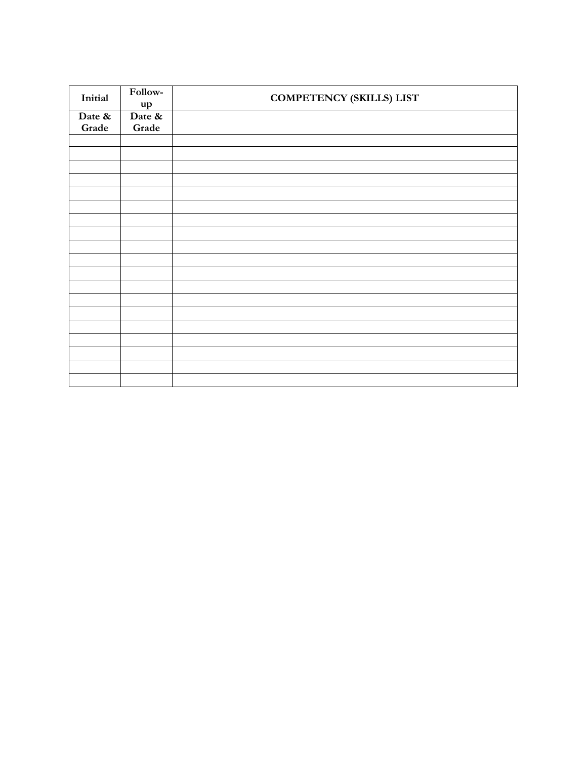| Initial | Follow-<br>up | <b>COMPETENCY (SKILLS) LIST</b> |
|---------|---------------|---------------------------------|
| Date &  | Date &        |                                 |
| Grade   | Grade         |                                 |
|         |               |                                 |
|         |               |                                 |
|         |               |                                 |
|         |               |                                 |
|         |               |                                 |
|         |               |                                 |
|         |               |                                 |
|         |               |                                 |
|         |               |                                 |
|         |               |                                 |
|         |               |                                 |
|         |               |                                 |
|         |               |                                 |
|         |               |                                 |
|         |               |                                 |
|         |               |                                 |
|         |               |                                 |
|         |               |                                 |
|         |               |                                 |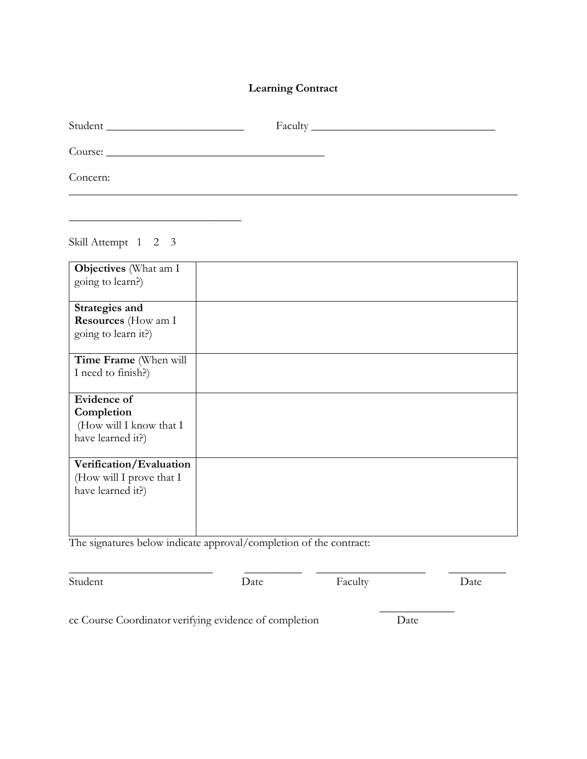## **Learning Contract**

| Concern:                                                                  |  |
|---------------------------------------------------------------------------|--|
|                                                                           |  |
| Skill Attempt 1 2 3                                                       |  |
| Objectives (What am I<br>going to learn?)                                 |  |
| Strategies and<br>Resources (How am I<br>going to learn it?)              |  |
| Time Frame (When will<br>I need to finish?)                               |  |
| Evidence of<br>Completion<br>(How will I know that I<br>have learned it?) |  |
| Verification/Evaluation<br>(How will I prove that I<br>have learned it?)  |  |

The signatures below indicate approval/completion of the contract:

Student Date Date Faculty Date

\_\_\_\_\_\_\_\_\_\_\_\_\_\_\_\_\_\_\_\_\_\_\_\_\_ \_\_\_\_\_\_\_\_\_\_ \_\_\_\_\_\_\_\_\_\_\_\_\_\_\_\_\_\_\_ \_\_\_\_\_\_\_\_\_\_

cc Course Coordinator verifying evidence of completion Date

 $\overline{\phantom{a}}$  , where  $\overline{\phantom{a}}$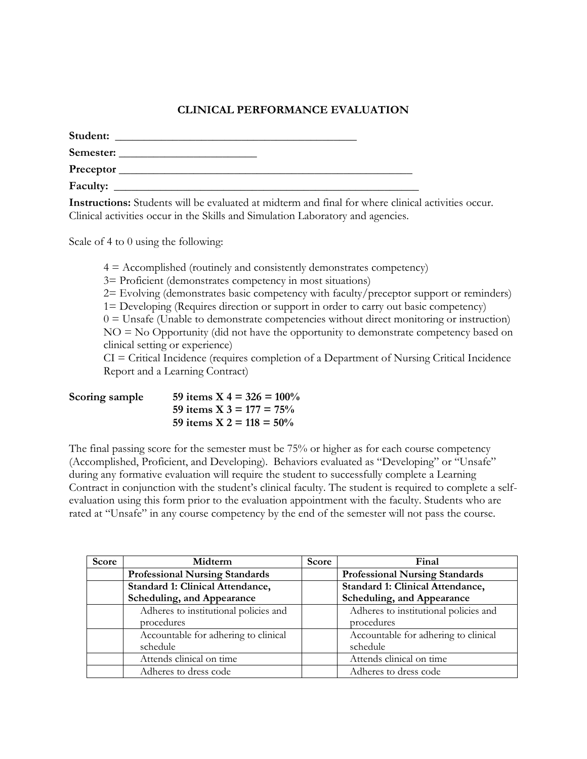## **CLINICAL PERFORMANCE EVALUATION**

| Student: |  |  |
|----------|--|--|
|          |  |  |
|          |  |  |
| Faculty: |  |  |

**Instructions:** Students will be evaluated at midterm and final for where clinical activities occur. Clinical activities occur in the Skills and Simulation Laboratory and agencies.

Scale of 4 to 0 using the following:

 $4 =$  Accomplished (routinely and consistently demonstrates competency)

3= Proficient (demonstrates competency in most situations)

2= Evolving (demonstrates basic competency with faculty/preceptor support or reminders)

1= Developing (Requires direction or support in order to carry out basic competency)

 $0 =$  Unsafe (Unable to demonstrate competencies without direct monitoring or instruction) NO = No Opportunity (did not have the opportunity to demonstrate competency based on clinical setting or experience)

CI = Critical Incidence (requires completion of a Department of Nursing Critical Incidence Report and a Learning Contract)

| Scoring sample | 59 items X 4 = $326 = 100\%$ |
|----------------|------------------------------|
|                | 59 items X 3 = 177 = $75\%$  |
|                | 59 items $X$ 2 = 118 = 50%   |

The final passing score for the semester must be 75% or higher as for each course competency (Accomplished, Proficient, and Developing). Behaviors evaluated as "Developing" or "Unsafe" during any formative evaluation will require the student to successfully complete a Learning Contract in conjunction with the student's clinical faculty. The student is required to complete a selfevaluation using this form prior to the evaluation appointment with the faculty. Students who are rated at "Unsafe" in any course competency by the end of the semester will not pass the course.

| Score | Midterm                               | Score | Final                                 |
|-------|---------------------------------------|-------|---------------------------------------|
|       | <b>Professional Nursing Standards</b> |       | <b>Professional Nursing Standards</b> |
|       | Standard 1: Clinical Attendance,      |       | Standard 1: Clinical Attendance,      |
|       | Scheduling, and Appearance            |       | Scheduling, and Appearance            |
|       | Adheres to institutional policies and |       | Adheres to institutional policies and |
|       | procedures                            |       | procedures                            |
|       | Accountable for adhering to clinical  |       | Accountable for adhering to clinical  |
|       | schedule                              |       | schedule                              |
|       | Attends clinical on time              |       | Attends clinical on time              |
|       | Adheres to dress code                 |       | Adheres to dress code                 |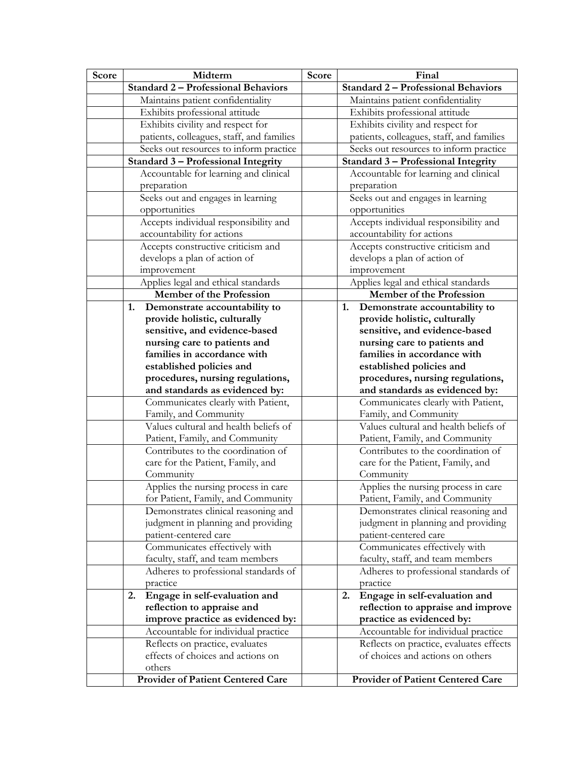| Score | Midterm                                                              | Score | Final                                                                       |
|-------|----------------------------------------------------------------------|-------|-----------------------------------------------------------------------------|
|       | <b>Standard 2 - Professional Behaviors</b>                           |       | <b>Standard 2 - Professional Behaviors</b>                                  |
|       | Maintains patient confidentiality                                    |       | Maintains patient confidentiality                                           |
|       | Exhibits professional attitude                                       |       | Exhibits professional attitude                                              |
|       | Exhibits civility and respect for                                    |       | Exhibits civility and respect for                                           |
|       | patients, colleagues, staff, and families                            |       | patients, colleagues, staff, and families                                   |
|       | Seeks out resources to inform practice                               |       | Seeks out resources to inform practice                                      |
|       | Standard 3 - Professional Integrity                                  |       | Standard 3 - Professional Integrity                                         |
|       | Accountable for learning and clinical                                |       | Accountable for learning and clinical                                       |
|       | preparation                                                          |       | preparation                                                                 |
|       | Seeks out and engages in learning                                    |       | Seeks out and engages in learning                                           |
|       | opportunities                                                        |       | opportunities                                                               |
|       | Accepts individual responsibility and                                |       | Accepts individual responsibility and                                       |
|       | accountability for actions                                           |       | accountability for actions                                                  |
|       | Accepts constructive criticism and                                   |       | Accepts constructive criticism and                                          |
|       | develops a plan of action of                                         |       | develops a plan of action of                                                |
|       | improvement                                                          |       | improvement                                                                 |
|       | Applies legal and ethical standards                                  |       | Applies legal and ethical standards                                         |
|       | <b>Member of the Profession</b>                                      |       | <b>Member of the Profession</b>                                             |
|       | Demonstrate accountability to<br>1.                                  |       | Demonstrate accountability to<br>1.                                         |
|       | provide holistic, culturally                                         |       | provide holistic, culturally                                                |
|       | sensitive, and evidence-based                                        |       | sensitive, and evidence-based                                               |
|       | nursing care to patients and                                         |       | nursing care to patients and                                                |
|       | families in accordance with                                          |       | families in accordance with                                                 |
|       | established policies and                                             |       | established policies and                                                    |
|       | procedures, nursing regulations,                                     |       | procedures, nursing regulations,                                            |
|       | and standards as evidenced by:                                       |       | and standards as evidenced by:                                              |
|       | Communicates clearly with Patient,                                   |       | Communicates clearly with Patient,                                          |
|       | Family, and Community                                                |       | Family, and Community                                                       |
|       | Values cultural and health beliefs of                                |       | Values cultural and health beliefs of                                       |
|       | Patient, Family, and Community                                       |       | Patient, Family, and Community                                              |
|       | Contributes to the coordination of                                   |       | Contributes to the coordination of                                          |
|       | care for the Patient, Family, and                                    |       | care for the Patient, Family, and                                           |
|       | Community                                                            |       | Community                                                                   |
|       | Applies the nursing process in care                                  |       | Applies the nursing process in care                                         |
|       | for Patient, Family, and Community                                   |       | Patient, Family, and Community                                              |
|       | Demonstrates clinical reasoning and                                  |       | Demonstrates clinical reasoning and                                         |
|       | judgment in planning and providing                                   |       | judgment in planning and providing                                          |
|       | patient-centered care                                                |       | patient-centered care                                                       |
|       | Communicates effectively with                                        |       | Communicates effectively with                                               |
|       | faculty, staff, and team members                                     |       | faculty, staff, and team members                                            |
|       | Adheres to professional standards of                                 |       | Adheres to professional standards of<br>practice                            |
|       | practice                                                             |       |                                                                             |
|       | Engage in self-evaluation and<br>2.                                  |       | Engage in self-evaluation and<br>2.                                         |
|       | reflection to appraise and                                           |       | reflection to appraise and improve                                          |
|       | improve practice as evidenced by:                                    |       | practice as evidenced by:                                                   |
|       | Accountable for individual practice                                  |       | Accountable for individual practice                                         |
|       | Reflects on practice, evaluates<br>effects of choices and actions on |       | Reflects on practice, evaluates effects<br>of choices and actions on others |
|       | others                                                               |       |                                                                             |
|       | <b>Provider of Patient Centered Care</b>                             |       | <b>Provider of Patient Centered Care</b>                                    |
|       |                                                                      |       |                                                                             |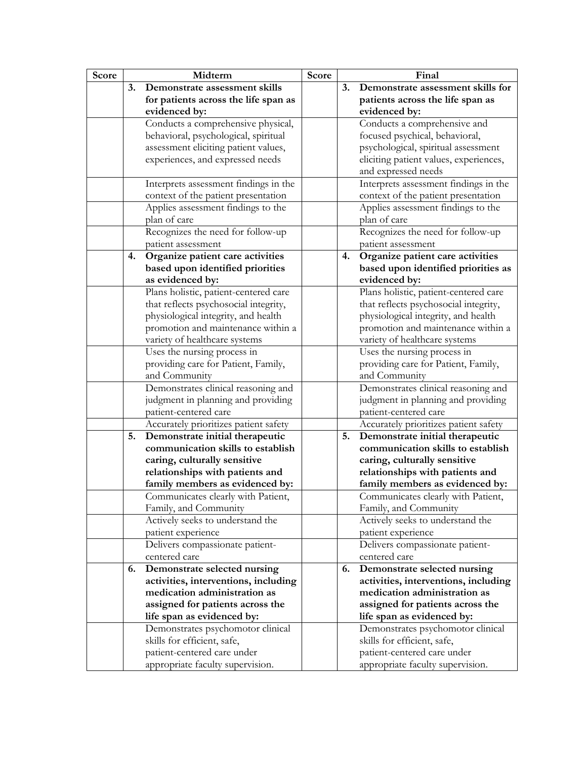| Score |    | Midterm                               | Score |    | Final                                  |
|-------|----|---------------------------------------|-------|----|----------------------------------------|
|       | 3. | Demonstrate assessment skills         |       | 3. | Demonstrate assessment skills for      |
|       |    | for patients across the life span as  |       |    | patients across the life span as       |
|       |    | evidenced by:                         |       |    | evidenced by:                          |
|       |    | Conducts a comprehensive physical,    |       |    | Conducts a comprehensive and           |
|       |    | behavioral, psychological, spiritual  |       |    | focused psychical, behavioral,         |
|       |    | assessment eliciting patient values,  |       |    | psychological, spiritual assessment    |
|       |    | experiences, and expressed needs      |       |    | eliciting patient values, experiences, |
|       |    |                                       |       |    | and expressed needs                    |
|       |    | Interprets assessment findings in the |       |    | Interprets assessment findings in the  |
|       |    | context of the patient presentation   |       |    | context of the patient presentation    |
|       |    | Applies assessment findings to the    |       |    | Applies assessment findings to the     |
|       |    | plan of care                          |       |    | plan of care                           |
|       |    | Recognizes the need for follow-up     |       |    | Recognizes the need for follow-up      |
|       |    | patient assessment                    |       |    | patient assessment                     |
|       | 4. | Organize patient care activities      |       | 4. | Organize patient care activities       |
|       |    | based upon identified priorities      |       |    | based upon identified priorities as    |
|       |    | as evidenced by:                      |       |    | evidenced by:                          |
|       |    | Plans holistic, patient-centered care |       |    | Plans holistic, patient-centered care  |
|       |    | that reflects psychosocial integrity, |       |    | that reflects psychosocial integrity,  |
|       |    | physiological integrity, and health   |       |    | physiological integrity, and health    |
|       |    | promotion and maintenance within a    |       |    | promotion and maintenance within a     |
|       |    | variety of healthcare systems         |       |    | variety of healthcare systems          |
|       |    | Uses the nursing process in           |       |    | Uses the nursing process in            |
|       |    | providing care for Patient, Family,   |       |    | providing care for Patient, Family,    |
|       |    | and Community                         |       |    | and Community                          |
|       |    | Demonstrates clinical reasoning and   |       |    | Demonstrates clinical reasoning and    |
|       |    | judgment in planning and providing    |       |    | judgment in planning and providing     |
|       |    | patient-centered care                 |       |    | patient-centered care                  |
|       |    | Accurately prioritizes patient safety |       |    | Accurately prioritizes patient safety  |
|       | 5. | Demonstrate initial therapeutic       |       | 5. | Demonstrate initial therapeutic        |
|       |    | communication skills to establish     |       |    | communication skills to establish      |
|       |    | caring, culturally sensitive          |       |    | caring, culturally sensitive           |
|       |    | relationships with patients and       |       |    | relationships with patients and        |
|       |    | family members as evidenced by:       |       |    | family members as evidenced by:        |
|       |    | Communicates clearly with Patient.    |       |    | Communicates clearly with Patient.     |
|       |    | Family, and Community                 |       |    | Family, and Community                  |
|       |    | Actively seeks to understand the      |       |    | Actively seeks to understand the       |
|       |    | patient experience                    |       |    | patient experience                     |
|       |    | Delivers compassionate patient-       |       |    | Delivers compassionate patient-        |
|       |    | centered care                         |       |    | centered care                          |
|       | 6. | Demonstrate selected nursing          |       | 6. | Demonstrate selected nursing           |
|       |    | activities, interventions, including  |       |    | activities, interventions, including   |
|       |    | medication administration as          |       |    | medication administration as           |
|       |    | assigned for patients across the      |       |    | assigned for patients across the       |
|       |    | life span as evidenced by:            |       |    | life span as evidenced by:             |
|       |    | Demonstrates psychomotor clinical     |       |    | Demonstrates psychomotor clinical      |
|       |    | skills for efficient, safe,           |       |    | skills for efficient, safe,            |
|       |    | patient-centered care under           |       |    | patient-centered care under            |
|       |    | appropriate faculty supervision.      |       |    | appropriate faculty supervision.       |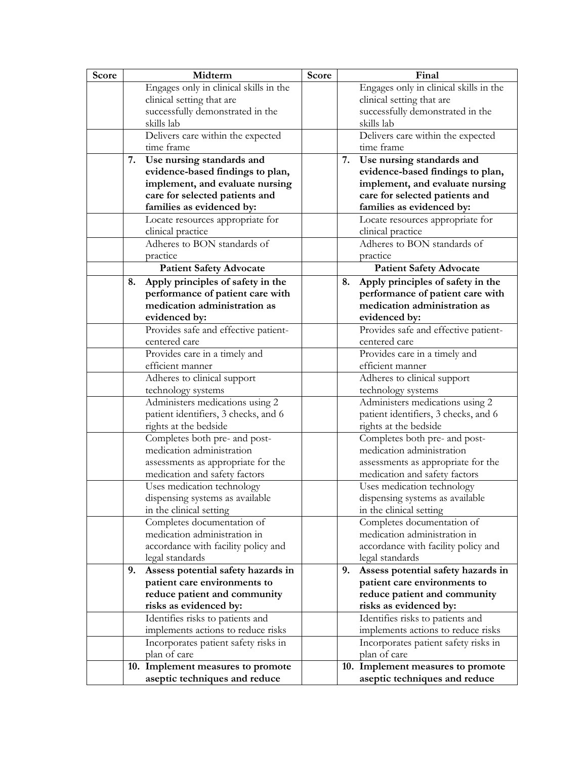| Score |    | Midterm                                | Score |    | Final                                  |
|-------|----|----------------------------------------|-------|----|----------------------------------------|
|       |    | Engages only in clinical skills in the |       |    | Engages only in clinical skills in the |
|       |    | clinical setting that are              |       |    | clinical setting that are              |
|       |    | successfully demonstrated in the       |       |    | successfully demonstrated in the       |
|       |    | skills lab                             |       |    | skills lab                             |
|       |    | Delivers care within the expected      |       |    | Delivers care within the expected      |
|       |    | time frame                             |       |    | time frame                             |
|       | 7. | Use nursing standards and              |       | 7. | Use nursing standards and              |
|       |    | evidence-based findings to plan,       |       |    | evidence-based findings to plan,       |
|       |    | implement, and evaluate nursing        |       |    | implement, and evaluate nursing        |
|       |    | care for selected patients and         |       |    | care for selected patients and         |
|       |    | families as evidenced by:              |       |    | families as evidenced by:              |
|       |    | Locate resources appropriate for       |       |    | Locate resources appropriate for       |
|       |    | clinical practice                      |       |    | clinical practice                      |
|       |    | Adheres to BON standards of            |       |    | Adheres to BON standards of            |
|       |    | practice                               |       |    | practice                               |
|       |    | <b>Patient Safety Advocate</b>         |       |    | <b>Patient Safety Advocate</b>         |
|       | 8. | Apply principles of safety in the      |       | 8. | Apply principles of safety in the      |
|       |    | performance of patient care with       |       |    | performance of patient care with       |
|       |    | medication administration as           |       |    | medication administration as           |
|       |    | evidenced by:                          |       |    | evidenced by:                          |
|       |    | Provides safe and effective patient-   |       |    | Provides safe and effective patient-   |
|       |    | centered care                          |       |    | centered care                          |
|       |    | Provides care in a timely and          |       |    | Provides care in a timely and          |
|       |    | efficient manner                       |       |    | efficient manner                       |
|       |    | Adheres to clinical support            |       |    | Adheres to clinical support            |
|       |    | technology systems                     |       |    | technology systems                     |
|       |    | Administers medications using 2        |       |    | Administers medications using 2        |
|       |    | patient identifiers, 3 checks, and 6   |       |    | patient identifiers, 3 checks, and 6   |
|       |    | rights at the bedside                  |       |    | rights at the bedside                  |
|       |    | Completes both pre- and post-          |       |    | Completes both pre- and post-          |
|       |    | medication administration              |       |    | medication administration              |
|       |    | assessments as appropriate for the     |       |    | assessments as appropriate for the     |
|       |    | medication and safety factors          |       |    | medication and safety factors          |
|       |    | Uses medication technology             |       |    | Uses medication technology             |
|       |    | dispensing systems as available        |       |    | dispensing systems as available        |
|       |    | in the clinical setting                |       |    | in the clinical setting                |
|       |    | Completes documentation of             |       |    | Completes documentation of             |
|       |    | medication administration in           |       |    | medication administration in           |
|       |    | accordance with facility policy and    |       |    | accordance with facility policy and    |
|       |    | legal standards                        |       |    | legal standards                        |
|       | 9. | Assess potential safety hazards in     |       | 9. | Assess potential safety hazards in     |
|       |    | patient care environments to           |       |    | patient care environments to           |
|       |    | reduce patient and community           |       |    | reduce patient and community           |
|       |    | risks as evidenced by:                 |       |    | risks as evidenced by:                 |
|       |    | Identifies risks to patients and       |       |    | Identifies risks to patients and       |
|       |    | implements actions to reduce risks     |       |    | implements actions to reduce risks     |
|       |    | Incorporates patient safety risks in   |       |    | Incorporates patient safety risks in   |
|       |    | plan of care                           |       |    | plan of care                           |
|       |    | 10. Implement measures to promote      |       |    | 10. Implement measures to promote      |
|       |    | aseptic techniques and reduce          |       |    | aseptic techniques and reduce          |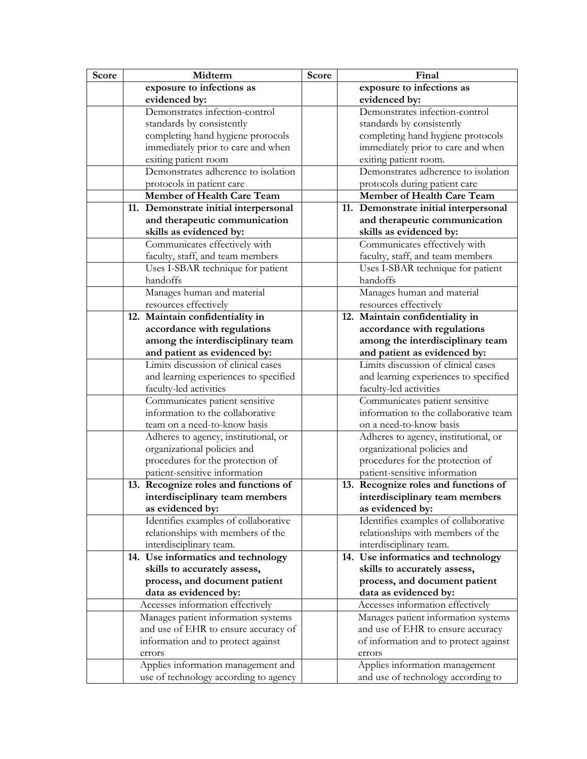| Score | Midterm                                                             | Score | Final                                                                   |
|-------|---------------------------------------------------------------------|-------|-------------------------------------------------------------------------|
|       | exposure to infections as                                           |       | exposure to infections as                                               |
|       | evidenced by:                                                       |       | evidenced by:                                                           |
|       | Demonstrates infection-control                                      |       | Demonstrates infection-control                                          |
|       | standards by consistently                                           |       | standards by consistently                                               |
|       | completing hand hygiene protocols                                   |       | completing hand hygiene protocols                                       |
|       | immediately prior to care and when                                  |       | immediately prior to care and when                                      |
|       | exiting patient room                                                |       | exiting patient room.                                                   |
|       | Demonstrates adherence to isolation                                 |       | Demonstrates adherence to isolation                                     |
|       | protocols in patient care                                           |       | protocols during patient care                                           |
|       | <b>Member of Health Care Team</b>                                   |       | Member of Health Care Team                                              |
|       | 11. Demonstrate initial interpersonal                               |       | 11. Demonstrate initial interpersonal                                   |
|       | and therapeutic communication                                       |       | and therapeutic communication                                           |
|       | skills as evidenced by:                                             |       | skills as evidenced by:                                                 |
|       | Communicates effectively with                                       |       | Communicates effectively with                                           |
|       | faculty, staff, and team members                                    |       | faculty, staff, and team members                                        |
|       | Uses I-SBAR technique for patient                                   |       | Uses I-SBAR technique for patient                                       |
|       | handoffs                                                            |       | handoffs                                                                |
|       | Manages human and material                                          |       | Manages human and material                                              |
|       | resources effectively                                               |       | resources effectively                                                   |
|       | 12. Maintain confidentiality in                                     |       | 12. Maintain confidentiality in                                         |
|       | accordance with regulations                                         |       | accordance with regulations                                             |
|       | among the interdisciplinary team                                    |       | among the interdisciplinary team                                        |
|       | and patient as evidenced by:                                        |       | and patient as evidenced by:                                            |
|       | Limits discussion of clinical cases                                 |       | Limits discussion of clinical cases                                     |
|       | and learning experiences to specified                               |       | and learning experiences to specified                                   |
|       | faculty-led activities                                              |       | faculty-led activities                                                  |
|       | Communicates patient sensitive<br>information to the collaborative  |       | Communicates patient sensitive<br>information to the collaborative team |
|       | team on a need-to-know basis                                        |       | on a need-to-know basis                                                 |
|       |                                                                     |       |                                                                         |
|       | Adheres to agency, institutional, or<br>organizational policies and |       | Adheres to agency, institutional, or<br>organizational policies and     |
|       | procedures for the protection of                                    |       | procedures for the protection of                                        |
|       | patient-sensitive information                                       |       | patient-sensitive information                                           |
|       | 13. Recognize roles and functions of                                |       | 13. Recognize roles and functions of                                    |
|       | interdisciplinary team members                                      |       | interdisciplinary team members                                          |
|       | as evidenced by:                                                    |       | as evidenced by:                                                        |
|       | Identifies examples of collaborative                                |       | Identifies examples of collaborative                                    |
|       | relationships with members of the                                   |       | relationships with members of the                                       |
|       | interdisciplinary team.                                             |       | interdisciplinary team.                                                 |
|       | 14. Use informatics and technology                                  |       | 14. Use informatics and technology                                      |
|       | skills to accurately assess,                                        |       | skills to accurately assess,                                            |
|       | process, and document patient                                       |       | process, and document patient                                           |
|       | data as evidenced by:                                               |       | data as evidenced by:                                                   |
|       | Accesses information effectively                                    |       | Accesses information effectively                                        |
|       | Manages patient information systems                                 |       | Manages patient information systems                                     |
|       | and use of EHR to ensure accuracy of                                |       | and use of EHR to ensure accuracy                                       |
|       | information and to protect against                                  |       | of information and to protect against                                   |
|       | errors                                                              |       | errors                                                                  |
|       | Applies information management and                                  |       | Applies information management                                          |
|       | use of technology according to agency                               |       | and use of technology according to                                      |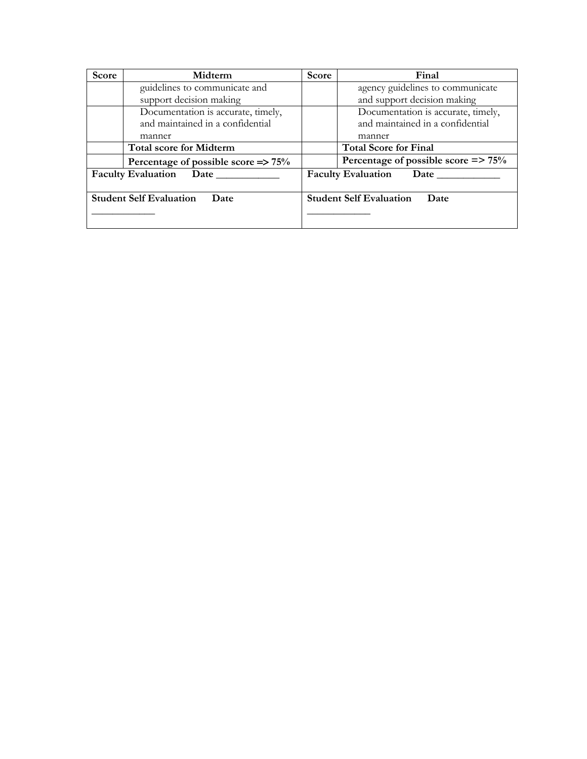| <b>Score</b>                           | Midterm                                        | Score | Final                                       |
|----------------------------------------|------------------------------------------------|-------|---------------------------------------------|
|                                        | guidelines to communicate and                  |       | agency guidelines to communicate            |
|                                        | support decision making                        |       | and support decision making                 |
|                                        | Documentation is accurate, timely,             |       | Documentation is accurate, timely,          |
|                                        | and maintained in a confidential               |       | and maintained in a confidential            |
|                                        | manner                                         |       | manner                                      |
|                                        | <b>Total score for Midterm</b>                 |       | <b>Total Score for Final</b>                |
|                                        | Percentage of possible score $\Rightarrow$ 75% |       | Percentage of possible score $\approx 75\%$ |
| <b>Faculty Evaluation</b>              |                                                |       | <b>Faculty Evaluation</b><br>Date           |
|                                        |                                                |       |                                             |
| <b>Student Self Evaluation</b><br>Date |                                                |       | <b>Student Self Evaluation</b><br>Date      |
|                                        |                                                |       |                                             |
|                                        |                                                |       |                                             |